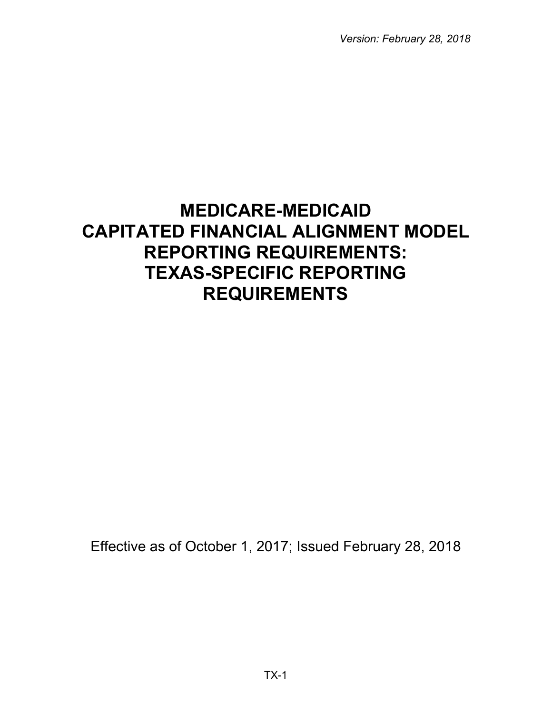*Version: February 28, 2018*

# **MEDICARE-MEDICAID CAPITATED FINANCIAL ALIGNMENT MODEL REPORTING REQUIREMENTS: TEXAS-SPECIFIC REPORTING REQUIREMENTS**

Effective as of October 1, 2017; Issued February 28, 2018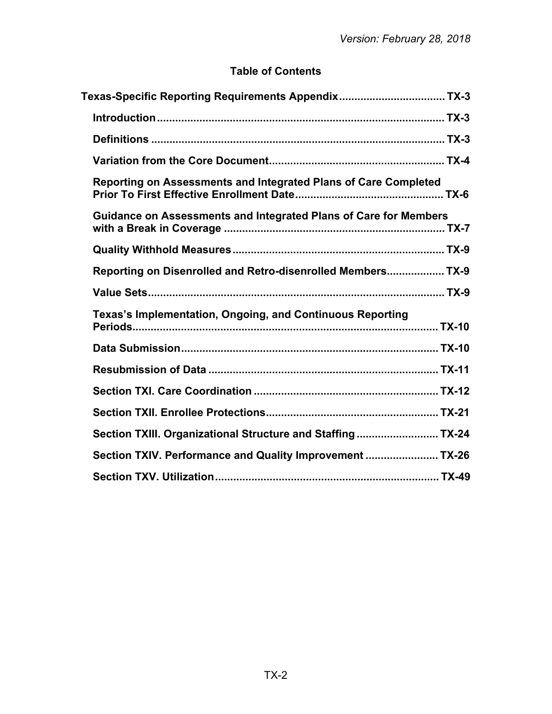# **Table of Contents**

| Texas-Specific Reporting Requirements Appendix TX-3              |  |
|------------------------------------------------------------------|--|
|                                                                  |  |
|                                                                  |  |
|                                                                  |  |
| Reporting on Assessments and Integrated Plans of Care Completed  |  |
| Guidance on Assessments and Integrated Plans of Care for Members |  |
|                                                                  |  |
| Reporting on Disenrolled and Retro-disenrolled Members TX-9      |  |
|                                                                  |  |
| Texas's Implementation, Ongoing, and Continuous Reporting        |  |
|                                                                  |  |
|                                                                  |  |
|                                                                  |  |
|                                                                  |  |
| Section TXIII. Organizational Structure and Staffing TX-24       |  |
| Section TXIV. Performance and Quality Improvement  TX-26         |  |
|                                                                  |  |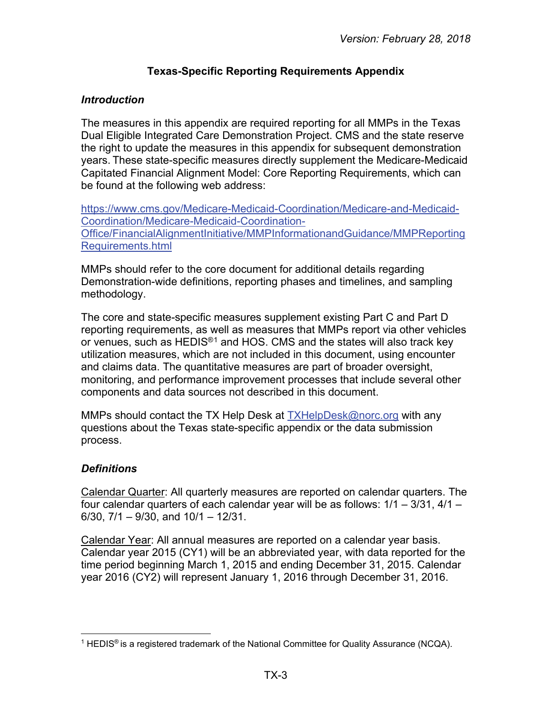# **Texas-Specific Reporting Requirements Appendix**

#### <span id="page-2-1"></span><span id="page-2-0"></span>*Introduction*

The measures in this appendix are required reporting for all MMPs in the Texas Dual Eligible Integrated Care Demonstration Project. CMS and the state reserve the right to update the measures in this appendix for subsequent demonstration years. These state-specific measures directly supplement the Medicare-Medicaid Capitated Financial Alignment Model: Core Reporting Requirements, which can be found at the following web address:

[https://www.cms.gov/Medicare-Medicaid-Coordination/Medicare-and-Medicaid-](https://www.cms.gov/Medicare-Medicaid-Coordination/Medicare-and-Medicaid-Coordination/Medicare-Medicaid-Coordination-Office/FinancialAlignmentInitiative/MMPInformationandGuidance/MMPReportingRequirements.html)[Coordination/Medicare-Medicaid-Coordination-](https://www.cms.gov/Medicare-Medicaid-Coordination/Medicare-and-Medicaid-Coordination/Medicare-Medicaid-Coordination-Office/FinancialAlignmentInitiative/MMPInformationandGuidance/MMPReportingRequirements.html)[Office/FinancialAlignmentInitiative/MMPInformationandGuidance/MMPReporting](https://www.cms.gov/Medicare-Medicaid-Coordination/Medicare-and-Medicaid-Coordination/Medicare-Medicaid-Coordination-Office/FinancialAlignmentInitiative/MMPInformationandGuidance/MMPReportingRequirements.html) [Requirements.html](https://www.cms.gov/Medicare-Medicaid-Coordination/Medicare-and-Medicaid-Coordination/Medicare-Medicaid-Coordination-Office/FinancialAlignmentInitiative/MMPInformationandGuidance/MMPReportingRequirements.html) 

MMPs should refer to the core document for additional details regarding Demonstration-wide definitions, reporting phases and timelines, and sampling methodology.

The core and state-specific measures supplement existing Part C and Part D reporting requirements, as well as measures that MMPs report via other vehicles or venues, such as HEDIS®[1](#page-2-3) and HOS. CMS and the states will also track key utilization measures, which are not included in this document, using encounter and claims data. The quantitative measures are part of broader oversight, monitoring, and performance improvement processes that include several other components and data sources not described in this document.

MMPs should contact the TX Help Desk at [TXHelpDesk@norc.org](mailto:%20TXHelpDesk@norc.org) with any questions about the Texas state-specific appendix or the data submission process.

# <span id="page-2-2"></span>*Definitions*

Calendar Quarter: All quarterly measures are reported on calendar quarters. The four calendar quarters of each calendar year will be as follows: 1/1 – 3/31, 4/1 –  $6/30$ ,  $7/1 - 9/30$ , and  $10/1 - 12/31$ .

Calendar Year: All annual measures are reported on a calendar year basis. Calendar year 2015 (CY1) will be an abbreviated year, with data reported for the time period beginning March 1, 2015 and ending December 31, 2015. Calendar year 2016 (CY2) will represent January 1, 2016 through December 31, 2016.

<span id="page-2-3"></span><sup>&</sup>lt;sup>1</sup> HEDIS<sup>®</sup> is a registered trademark of the National Committee for Quality Assurance (NCQA).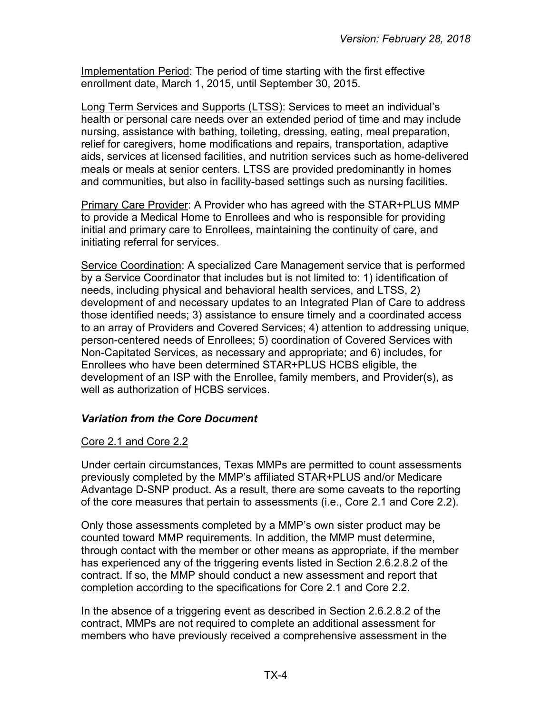Implementation Period: The period of time starting with the first effective enrollment date, March 1, 2015, until September 30, 2015.

Long Term Services and Supports (LTSS): Services to meet an individual's health or personal care needs over an extended period of time and may include nursing, assistance with bathing, toileting, dressing, eating, meal preparation, relief for caregivers, home modifications and repairs, transportation, adaptive aids, services at licensed facilities, and nutrition services such as home-delivered meals or meals at senior centers. LTSS are provided predominantly in homes and communities, but also in facility-based settings such as nursing facilities.

Primary Care Provider: A Provider who has agreed with the STAR+PLUS MMP to provide a Medical Home to Enrollees and who is responsible for providing initial and primary care to Enrollees, maintaining the continuity of care, and initiating referral for services.

Service Coordination: A specialized Care Management service that is performed by a Service Coordinator that includes but is not limited to: 1) identification of needs, including physical and behavioral health services, and LTSS, 2) development of and necessary updates to an Integrated Plan of Care to address those identified needs; 3) assistance to ensure timely and a coordinated access to an array of Providers and Covered Services; 4) attention to addressing unique, person-centered needs of Enrollees; 5) coordination of Covered Services with Non-Capitated Services, as necessary and appropriate; and 6) includes, for Enrollees who have been determined STAR+PLUS HCBS eligible, the development of an ISP with the Enrollee, family members, and Provider(s), as well as authorization of HCBS services.

#### <span id="page-3-0"></span>*Variation from the Core Document*

#### Core 2.1 and Core 2.2

Under certain circumstances, Texas MMPs are permitted to count assessments previously completed by the MMP's affiliated STAR+PLUS and/or Medicare Advantage D-SNP product. As a result, there are some caveats to the reporting of the core measures that pertain to assessments (i.e., Core 2.1 and Core 2.2).

Only those assessments completed by a MMP's own sister product may be counted toward MMP requirements. In addition, the MMP must determine, through contact with the member or other means as appropriate, if the member has experienced any of the triggering events listed in Section 2.6.2.8.2 of the contract. If so, the MMP should conduct a new assessment and report that completion according to the specifications for Core 2.1 and Core 2.2.

In the absence of a triggering event as described in Section 2.6.2.8.2 of the contract, MMPs are not required to complete an additional assessment for members who have previously received a comprehensive assessment in the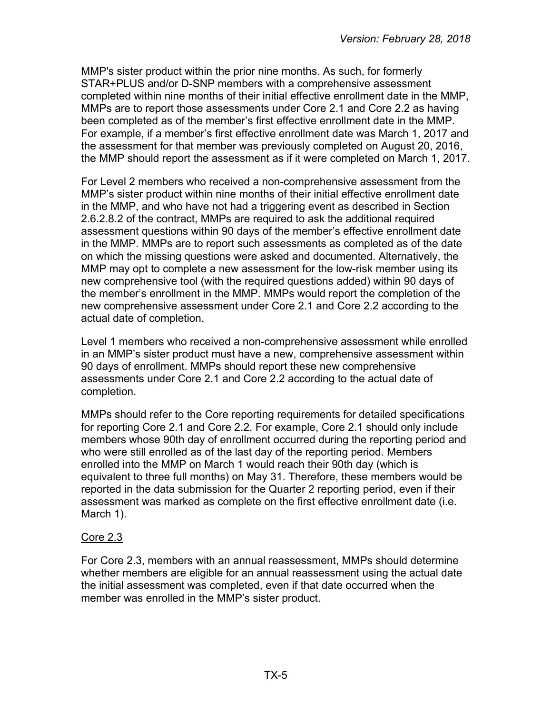MMP's sister product within the prior nine months. As such, for formerly STAR+PLUS and/or D-SNP members with a comprehensive assessment completed within nine months of their initial effective enrollment date in the MMP, MMPs are to report those assessments under Core 2.1 and Core 2.2 as having been completed as of the member's first effective enrollment date in the MMP. For example, if a member's first effective enrollment date was March 1, 2017 and the assessment for that member was previously completed on August 20, 2016, the MMP should report the assessment as if it were completed on March 1, 2017.

For Level 2 members who received a non-comprehensive assessment from the MMP's sister product within nine months of their initial effective enrollment date in the MMP, and who have not had a triggering event as described in Section 2.6.2.8.2 of the contract, MMPs are required to ask the additional required assessment questions within 90 days of the member's effective enrollment date in the MMP. MMPs are to report such assessments as completed as of the date on which the missing questions were asked and documented. Alternatively, the MMP may opt to complete a new assessment for the low-risk member using its new comprehensive tool (with the required questions added) within 90 days of the member's enrollment in the MMP. MMPs would report the completion of the new comprehensive assessment under Core 2.1 and Core 2.2 according to the actual date of completion.

Level 1 members who received a non-comprehensive assessment while enrolled in an MMP's sister product must have a new, comprehensive assessment within 90 days of enrollment. MMPs should report these new comprehensive assessments under Core 2.1 and Core 2.2 according to the actual date of completion.

MMPs should refer to the Core reporting requirements for detailed specifications for reporting Core 2.1 and Core 2.2. For example, Core 2.1 should only include members whose 90th day of enrollment occurred during the reporting period and who were still enrolled as of the last day of the reporting period. Members enrolled into the MMP on March 1 would reach their 90th day (which is equivalent to three full months) on May 31. Therefore, these members would be reported in the data submission for the Quarter 2 reporting period, even if their assessment was marked as complete on the first effective enrollment date (i.e. March 1).

#### Core 2.3

For Core 2.3, members with an annual reassessment, MMPs should determine whether members are eligible for an annual reassessment using the actual date the initial assessment was completed, even if that date occurred when the member was enrolled in the MMP's sister product.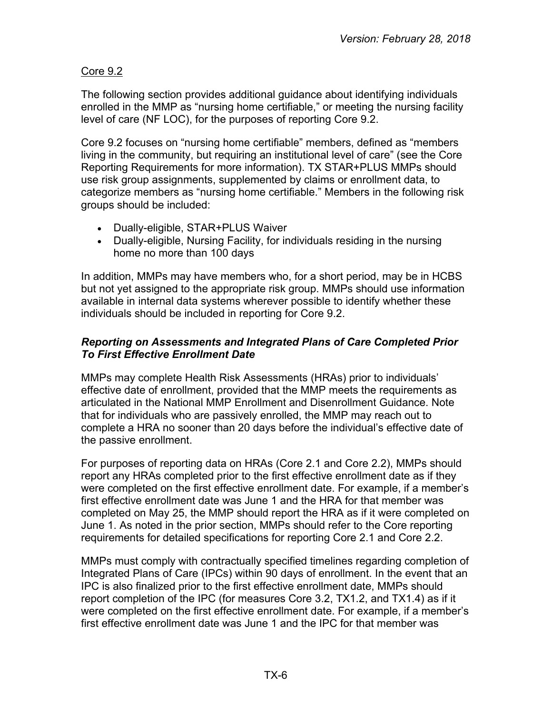# Core 9.2

The following section provides additional guidance about identifying individuals enrolled in the MMP as "nursing home certifiable," or meeting the nursing facility level of care (NF LOC), for the purposes of reporting Core 9.2.

Core 9.2 focuses on "nursing home certifiable" members, defined as "members living in the community, but requiring an institutional level of care" (see the Core Reporting Requirements for more information). TX STAR+PLUS MMPs should use risk group assignments, supplemented by claims or enrollment data, to categorize members as "nursing home certifiable." Members in the following risk groups should be included:

- Dually-eligible, STAR+PLUS Waiver
- Dually-eligible, Nursing Facility, for individuals residing in the nursing home no more than 100 days

In addition, MMPs may have members who, for a short period, may be in HCBS but not yet assigned to the appropriate risk group. MMPs should use information available in internal data systems wherever possible to identify whether these individuals should be included in reporting for Core 9.2.

#### <span id="page-5-0"></span>*Reporting on Assessments and Integrated Plans of Care Completed Prior To First Effective Enrollment Date*

MMPs may complete Health Risk Assessments (HRAs) prior to individuals' effective date of enrollment, provided that the MMP meets the requirements as articulated in the National MMP Enrollment and Disenrollment Guidance. Note that for individuals who are passively enrolled, the MMP may reach out to complete a HRA no sooner than 20 days before the individual's effective date of the passive enrollment.

For purposes of reporting data on HRAs (Core 2.1 and Core 2.2), MMPs should report any HRAs completed prior to the first effective enrollment date as if they were completed on the first effective enrollment date. For example, if a member's first effective enrollment date was June 1 and the HRA for that member was completed on May 25, the MMP should report the HRA as if it were completed on June 1. As noted in the prior section, MMPs should refer to the Core reporting requirements for detailed specifications for reporting Core 2.1 and Core 2.2.

MMPs must comply with contractually specified timelines regarding completion of Integrated Plans of Care (IPCs) within 90 days of enrollment. In the event that an IPC is also finalized prior to the first effective enrollment date, MMPs should report completion of the IPC (for measures Core 3.2, TX1.2, and TX1.4) as if it were completed on the first effective enrollment date. For example, if a member's first effective enrollment date was June 1 and the IPC for that member was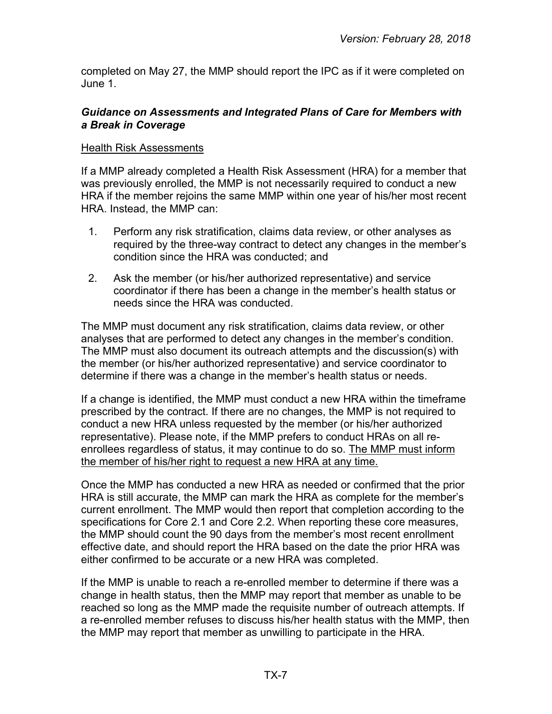completed on May 27, the MMP should report the IPC as if it were completed on June 1.

#### <span id="page-6-0"></span>*Guidance on Assessments and Integrated Plans of Care for Members with a Break in Coverage*

#### Health Risk Assessments

If a MMP already completed a Health Risk Assessment (HRA) for a member that was previously enrolled, the MMP is not necessarily required to conduct a new HRA if the member rejoins the same MMP within one year of his/her most recent HRA. Instead, the MMP can:

- 1. Perform any risk stratification, claims data review, or other analyses as required by the three-way contract to detect any changes in the member's condition since the HRA was conducted; and
- 2. Ask the member (or his/her authorized representative) and service coordinator if there has been a change in the member's health status or needs since the HRA was conducted.

The MMP must document any risk stratification, claims data review, or other analyses that are performed to detect any changes in the member's condition. The MMP must also document its outreach attempts and the discussion(s) with the member (or his/her authorized representative) and service coordinator to determine if there was a change in the member's health status or needs.

If a change is identified, the MMP must conduct a new HRA within the timeframe prescribed by the contract. If there are no changes, the MMP is not required to conduct a new HRA unless requested by the member (or his/her authorized representative). Please note, if the MMP prefers to conduct HRAs on all reenrollees regardless of status, it may continue to do so. The MMP must inform the member of his/her right to request a new HRA at any time.

Once the MMP has conducted a new HRA as needed or confirmed that the prior HRA is still accurate, the MMP can mark the HRA as complete for the member's current enrollment. The MMP would then report that completion according to the specifications for Core 2.1 and Core 2.2. When reporting these core measures, the MMP should count the 90 days from the member's most recent enrollment effective date, and should report the HRA based on the date the prior HRA was either confirmed to be accurate or a new HRA was completed.

If the MMP is unable to reach a re-enrolled member to determine if there was a change in health status, then the MMP may report that member as unable to be reached so long as the MMP made the requisite number of outreach attempts. If a re-enrolled member refuses to discuss his/her health status with the MMP, then the MMP may report that member as unwilling to participate in the HRA.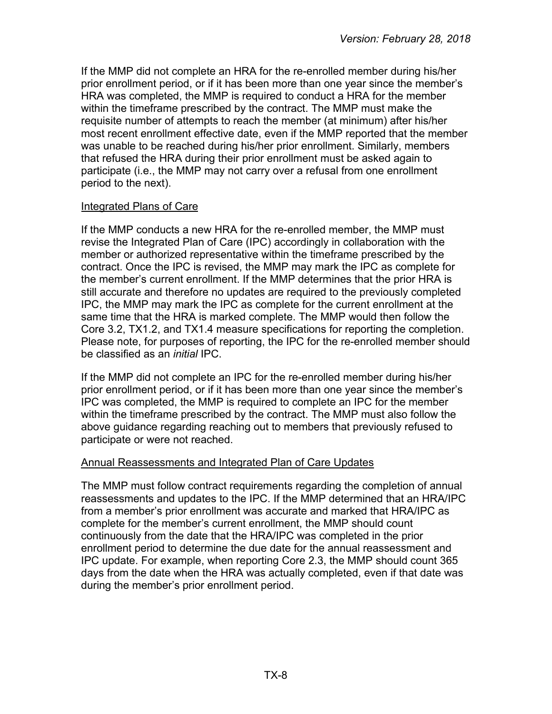If the MMP did not complete an HRA for the re-enrolled member during his/her prior enrollment period, or if it has been more than one year since the member's HRA was completed, the MMP is required to conduct a HRA for the member within the timeframe prescribed by the contract. The MMP must make the requisite number of attempts to reach the member (at minimum) after his/her most recent enrollment effective date, even if the MMP reported that the member was unable to be reached during his/her prior enrollment. Similarly, members that refused the HRA during their prior enrollment must be asked again to participate (i.e., the MMP may not carry over a refusal from one enrollment period to the next).

#### Integrated Plans of Care

If the MMP conducts a new HRA for the re-enrolled member, the MMP must revise the Integrated Plan of Care (IPC) accordingly in collaboration with the member or authorized representative within the timeframe prescribed by the contract. Once the IPC is revised, the MMP may mark the IPC as complete for the member's current enrollment. If the MMP determines that the prior HRA is still accurate and therefore no updates are required to the previously completed IPC, the MMP may mark the IPC as complete for the current enrollment at the same time that the HRA is marked complete. The MMP would then follow the Core 3.2, TX1.2, and TX1.4 measure specifications for reporting the completion. Please note, for purposes of reporting, the IPC for the re-enrolled member should be classified as an *initial* IPC.

If the MMP did not complete an IPC for the re-enrolled member during his/her prior enrollment period, or if it has been more than one year since the member's IPC was completed, the MMP is required to complete an IPC for the member within the timeframe prescribed by the contract. The MMP must also follow the above guidance regarding reaching out to members that previously refused to participate or were not reached.

#### Annual Reassessments and Integrated Plan of Care Updates

The MMP must follow contract requirements regarding the completion of annual reassessments and updates to the IPC. If the MMP determined that an HRA/IPC from a member's prior enrollment was accurate and marked that HRA/IPC as complete for the member's current enrollment, the MMP should count continuously from the date that the HRA/IPC was completed in the prior enrollment period to determine the due date for the annual reassessment and IPC update. For example, when reporting Core 2.3, the MMP should count 365 days from the date when the HRA was actually completed, even if that date was during the member's prior enrollment period.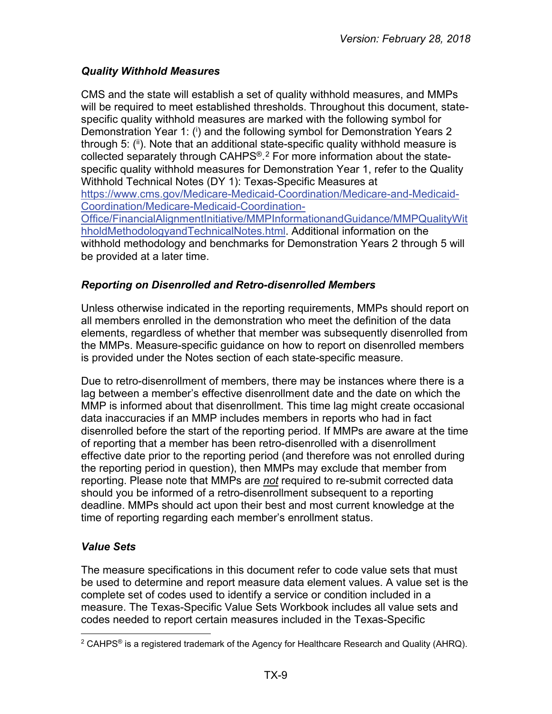# <span id="page-8-0"></span>*Quality Withhold Measures*

CMS and the state will establish a set of quality withhold measures, and MMPs will be required to meet established thresholds. Throughout this document, statespecific quality withhold measures are marked with the following symbol for Demonstration Year 1: (i) and the following symbol for Demonstration Years 2 through 5: (ii). Note that an additional state-specific quality withhold measure is collected separately through CAHPS®. [2](#page-8-3) For more information about the statespecific quality withhold measures for Demonstration Year 1, refer to the Quality Withhold Technical Notes (DY 1): Texas-Specific Measures at [https://www.cms.gov/Medicare-Medicaid-Coordination/Medicare-and-Medicaid-](https://www.cms.gov/Medicare-Medicaid-Coordination/Medicare-and-Medicaid-Coordination/Medicare-Medicaid-Coordination-Office/FinancialAlignmentInitiative/MMPInformationandGuidance/MMPQualityWithholdMethodologyandTechnicalNotes.html)[Coordination/Medicare-Medicaid-Coordination-](https://www.cms.gov/Medicare-Medicaid-Coordination/Medicare-and-Medicaid-Coordination/Medicare-Medicaid-Coordination-Office/FinancialAlignmentInitiative/MMPInformationandGuidance/MMPQualityWithholdMethodologyandTechnicalNotes.html)[Office/FinancialAlignmentInitiative/MMPInformationandGuidance/MMPQualityWit](https://www.cms.gov/Medicare-Medicaid-Coordination/Medicare-and-Medicaid-Coordination/Medicare-Medicaid-Coordination-Office/FinancialAlignmentInitiative/MMPInformationandGuidance/MMPQualityWithholdMethodologyandTechnicalNotes.html) [hholdMethodologyandTechnicalNotes.html.](https://www.cms.gov/Medicare-Medicaid-Coordination/Medicare-and-Medicaid-Coordination/Medicare-Medicaid-Coordination-Office/FinancialAlignmentInitiative/MMPInformationandGuidance/MMPQualityWithholdMethodologyandTechnicalNotes.html) Additional information on the withhold methodology and benchmarks for Demonstration Years 2 through 5 will be provided at a later time.

# <span id="page-8-1"></span>*Reporting on Disenrolled and Retro-disenrolled Members*

Unless otherwise indicated in the reporting requirements, MMPs should report on all members enrolled in the demonstration who meet the definition of the data elements, regardless of whether that member was subsequently disenrolled from the MMPs. Measure-specific guidance on how to report on disenrolled members is provided under the Notes section of each state-specific measure.

Due to retro-disenrollment of members, there may be instances where there is a lag between a member's effective disenrollment date and the date on which the MMP is informed about that disenrollment. This time lag might create occasional data inaccuracies if an MMP includes members in reports who had in fact disenrolled before the start of the reporting period. If MMPs are aware at the time of reporting that a member has been retro-disenrolled with a disenrollment effective date prior to the reporting period (and therefore was not enrolled during the reporting period in question), then MMPs may exclude that member from reporting. Please note that MMPs are *not* required to re-submit corrected data should you be informed of a retro-disenrollment subsequent to a reporting deadline. MMPs should act upon their best and most current knowledge at the time of reporting regarding each member's enrollment status.

# <span id="page-8-2"></span>*Value Sets*

The measure specifications in this document refer to code value sets that must be used to determine and report measure data element values. A value set is the complete set of codes used to identify a service or condition included in a measure. The Texas-Specific Value Sets Workbook includes all value sets and codes needed to report certain measures included in the Texas-Specific

<span id="page-8-3"></span> $\overline{a}$ <sup>2</sup> CAHPS<sup>®</sup> is a registered trademark of the Agency for Healthcare Research and Quality (AHRQ).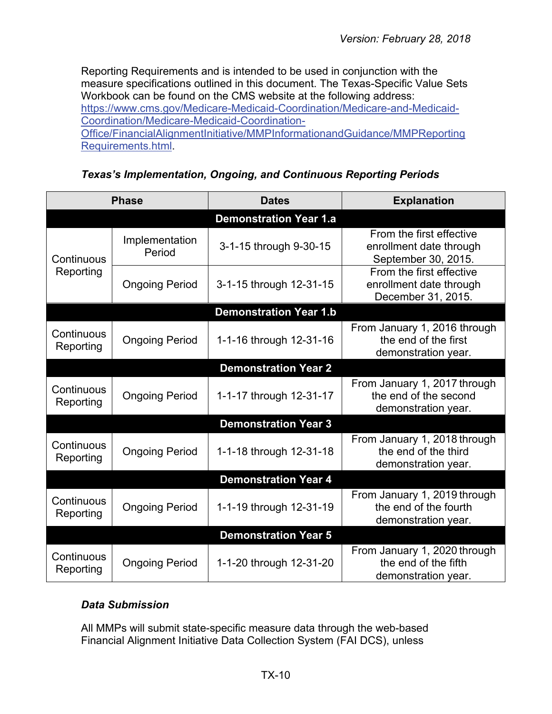Reporting Requirements and is intended to be used in conjunction with the measure specifications outlined in this document. The Texas-Specific Value Sets Workbook can be found on the CMS website at the following address: [https://www.cms.gov/Medicare-Medicaid-Coordination/Medicare-and-Medicaid-](https://www.cms.gov/Medicare-Medicaid-Coordination/Medicare-and-Medicaid-Coordination/Medicare-Medicaid-Coordination-Office/FinancialAlignmentInitiative/MMPInformationandGuidance/MMPReportingRequirements.html)[Coordination/Medicare-Medicaid-Coordination-](https://www.cms.gov/Medicare-Medicaid-Coordination/Medicare-and-Medicaid-Coordination/Medicare-Medicaid-Coordination-Office/FinancialAlignmentInitiative/MMPInformationandGuidance/MMPReportingRequirements.html)[Office/FinancialAlignmentInitiative/MMPInformationandGuidance/MMPReporting](https://www.cms.gov/Medicare-Medicaid-Coordination/Medicare-and-Medicaid-Coordination/Medicare-Medicaid-Coordination-Office/FinancialAlignmentInitiative/MMPInformationandGuidance/MMPReportingRequirements.html) [Requirements.html.](https://www.cms.gov/Medicare-Medicaid-Coordination/Medicare-and-Medicaid-Coordination/Medicare-Medicaid-Coordination-Office/FinancialAlignmentInitiative/MMPInformationandGuidance/MMPReportingRequirements.html)

*Texas's Implementation, Ongoing, and Continuous Reporting Periods*

<span id="page-9-0"></span>

| <b>Phase</b>                |                          | <b>Dates</b>                  | <b>Explanation</b>                                                           |  |
|-----------------------------|--------------------------|-------------------------------|------------------------------------------------------------------------------|--|
|                             |                          | <b>Demonstration Year 1.a</b> |                                                                              |  |
| Continuous                  | Implementation<br>Period | 3-1-15 through 9-30-15        | From the first effective<br>enrollment date through<br>September 30, 2015.   |  |
| Reporting                   | <b>Ongoing Period</b>    | 3-1-15 through 12-31-15       | From the first effective<br>enrollment date through<br>December 31, 2015.    |  |
|                             |                          | <b>Demonstration Year 1.b</b> |                                                                              |  |
| Continuous<br>Reporting     | <b>Ongoing Period</b>    | 1-1-16 through 12-31-16       | From January 1, 2016 through<br>the end of the first<br>demonstration year.  |  |
|                             |                          | <b>Demonstration Year 2</b>   |                                                                              |  |
| Continuous<br>Reporting     | <b>Ongoing Period</b>    | 1-1-17 through 12-31-17       | From January 1, 2017 through<br>the end of the second<br>demonstration year. |  |
|                             |                          | <b>Demonstration Year 3</b>   |                                                                              |  |
| Continuous<br>Reporting     | <b>Ongoing Period</b>    | 1-1-18 through 12-31-18       | From January 1, 2018 through<br>the end of the third<br>demonstration year.  |  |
|                             |                          | <b>Demonstration Year 4</b>   |                                                                              |  |
| Continuous<br>Reporting     | <b>Ongoing Period</b>    | 1-1-19 through 12-31-19       | From January 1, 2019 through<br>the end of the fourth<br>demonstration year. |  |
| <b>Demonstration Year 5</b> |                          |                               |                                                                              |  |
| Continuous<br>Reporting     | <b>Ongoing Period</b>    | 1-1-20 through 12-31-20       | From January 1, 2020 through<br>the end of the fifth<br>demonstration year.  |  |

#### <span id="page-9-1"></span>*Data Submission*

All MMPs will submit state-specific measure data through the web-based Financial Alignment Initiative Data Collection System (FAI DCS), unless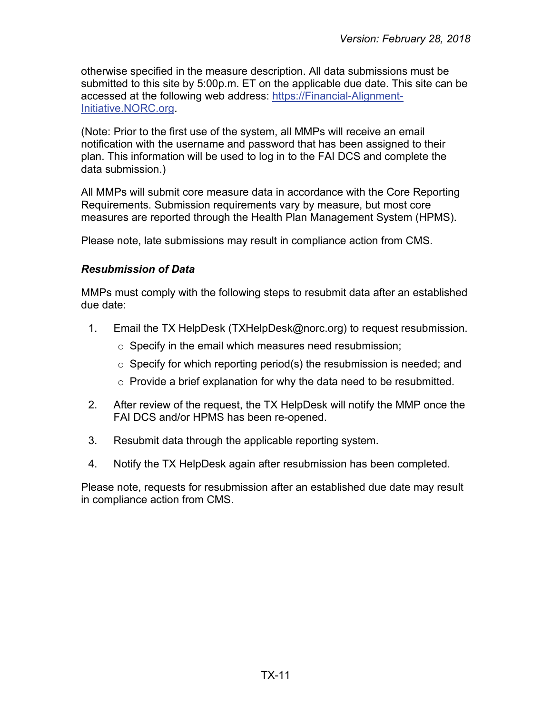otherwise specified in the measure description. All data submissions must be submitted to this site by 5:00p.m. ET on the applicable due date. This site can be accessed at the following web address: [https://Financial-Alignment-](https://financial-alignment-initiative.norc.org/)[Initiative.NORC.org.](https://financial-alignment-initiative.norc.org/)

(Note: Prior to the first use of the system, all MMPs will receive an email notification with the username and password that has been assigned to their plan. This information will be used to log in to the FAI DCS and complete the data submission.)

All MMPs will submit core measure data in accordance with the Core Reporting Requirements. Submission requirements vary by measure, but most core measures are reported through the Health Plan Management System (HPMS).

Please note, late submissions may result in compliance action from CMS.

#### <span id="page-10-0"></span>*Resubmission of Data*

MMPs must comply with the following steps to resubmit data after an established due date:

- 1. Email the TX HelpDesk [\(TXHelpDesk@norc.org\)](mailto:TXHelpDesk@norc.org) to request resubmission.
	- $\circ$  Specify in the email which measures need resubmission;
	- $\circ$  Specify for which reporting period(s) the resubmission is needed; and
	- $\circ$  Provide a brief explanation for why the data need to be resubmitted.
- 2. After review of the request, the TX HelpDesk will notify the MMP once the FAI DCS and/or HPMS has been re-opened.
- 3. Resubmit data through the applicable reporting system.
- 4. Notify the TX HelpDesk again after resubmission has been completed.

Please note, requests for resubmission after an established due date may result in compliance action from CMS.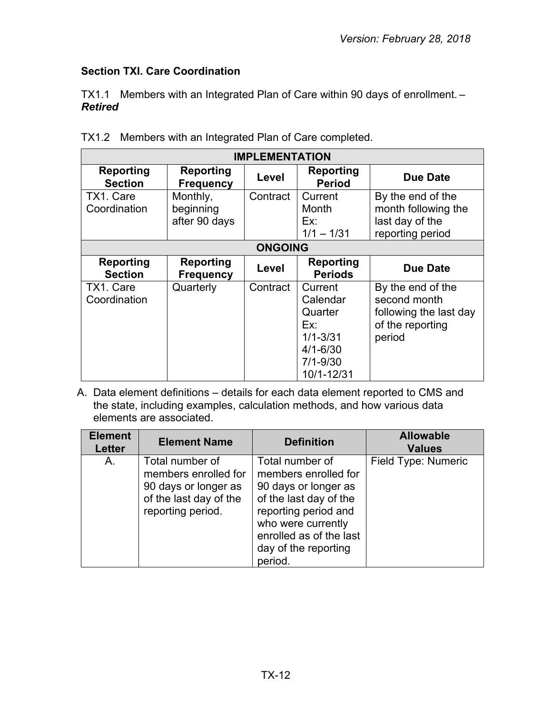# <span id="page-11-0"></span>**Section TXI. Care Coordination**

TX1.1 Members with an Integrated Plan of Care within 90 days of enrollment. – *Retired*

| <b>IMPLEMENTATION</b>              |                                        |                |                                                                                                     |                                                                                           |  |
|------------------------------------|----------------------------------------|----------------|-----------------------------------------------------------------------------------------------------|-------------------------------------------------------------------------------------------|--|
| <b>Reporting</b><br><b>Section</b> | <b>Reporting</b><br><b>Frequency</b>   | Level          | <b>Reporting</b><br><b>Period</b>                                                                   | Due Date                                                                                  |  |
| TX1. Care<br>Coordination          | Monthly,<br>beginning<br>after 90 days | Contract       | Current<br>Month<br>Ex:<br>$1/1 - 1/31$                                                             | By the end of the<br>month following the<br>last day of the<br>reporting period           |  |
|                                    |                                        | <b>ONGOING</b> |                                                                                                     |                                                                                           |  |
| <b>Reporting</b><br><b>Section</b> | <b>Reporting</b><br><b>Frequency</b>   | Level          | <b>Reporting</b><br><b>Periods</b>                                                                  | <b>Due Date</b>                                                                           |  |
| TX1. Care<br>Coordination          | Quarterly                              | Contract       | Current<br>Calendar<br>Quarter<br>Ex:<br>$1/1 - 3/31$<br>$4/1 - 6/30$<br>$7/1 - 9/30$<br>10/1-12/31 | By the end of the<br>second month<br>following the last day<br>of the reporting<br>period |  |

TX1.2 Members with an Integrated Plan of Care completed.

A. Data element definitions – details for each data element reported to CMS and the state, including examples, calculation methods, and how various data elements are associated.

| <b>Element</b><br><b>Letter</b> | <b>Element Name</b>                                                                                            | <b>Definition</b>                                                                                                                                                                                     | <b>Allowable</b><br><b>Values</b> |
|---------------------------------|----------------------------------------------------------------------------------------------------------------|-------------------------------------------------------------------------------------------------------------------------------------------------------------------------------------------------------|-----------------------------------|
| A.                              | Total number of<br>members enrolled for<br>90 days or longer as<br>of the last day of the<br>reporting period. | Total number of<br>members enrolled for<br>90 days or longer as<br>of the last day of the<br>reporting period and<br>who were currently<br>enrolled as of the last<br>day of the reporting<br>period. | Field Type: Numeric               |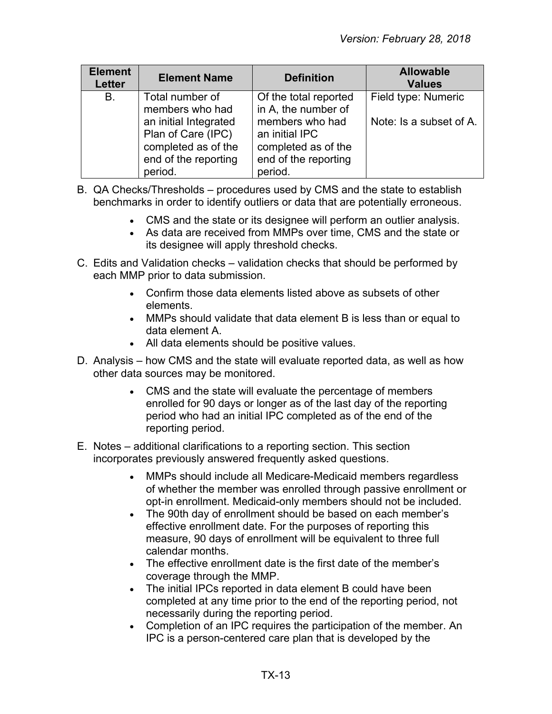| <b>Element</b><br><b>Letter</b> | <b>Element Name</b>                                                                                   | <b>Definition</b>                                                                           | <b>Allowable</b><br><b>Values</b> |
|---------------------------------|-------------------------------------------------------------------------------------------------------|---------------------------------------------------------------------------------------------|-----------------------------------|
| <b>B.</b>                       | Total number of<br>members who had                                                                    | Of the total reported<br>in A, the number of                                                | Field type: Numeric               |
|                                 | an initial Integrated<br>Plan of Care (IPC)<br>completed as of the<br>end of the reporting<br>period. | members who had<br>an initial IPC<br>completed as of the<br>end of the reporting<br>period. | Note: Is a subset of A.           |

- B. QA Checks/Thresholds procedures used by CMS and the state to establish benchmarks in order to identify outliers or data that are potentially erroneous.
	- CMS and the state or its designee will perform an outlier analysis.
	- As data are received from MMPs over time, CMS and the state or its designee will apply threshold checks.
- C. Edits and Validation checks validation checks that should be performed by each MMP prior to data submission.
	- Confirm those data elements listed above as subsets of other elements.
	- MMPs should validate that data element B is less than or equal to data element A.
	- All data elements should be positive values.
- D. Analysis how CMS and the state will evaluate reported data, as well as how other data sources may be monitored.
	- CMS and the state will evaluate the percentage of members enrolled for 90 days or longer as of the last day of the reporting period who had an initial IPC completed as of the end of the reporting period.
- E. Notes additional clarifications to a reporting section. This section incorporates previously answered frequently asked questions.
	- MMPs should include all Medicare-Medicaid members regardless of whether the member was enrolled through passive enrollment or opt-in enrollment. Medicaid-only members should not be included.
	- The 90th day of enrollment should be based on each member's effective enrollment date. For the purposes of reporting this measure, 90 days of enrollment will be equivalent to three full calendar months.
	- The effective enrollment date is the first date of the member's coverage through the MMP.
	- The initial IPCs reported in data element B could have been completed at any time prior to the end of the reporting period, not necessarily during the reporting period.
	- Completion of an IPC requires the participation of the member. An IPC is a person-centered care plan that is developed by the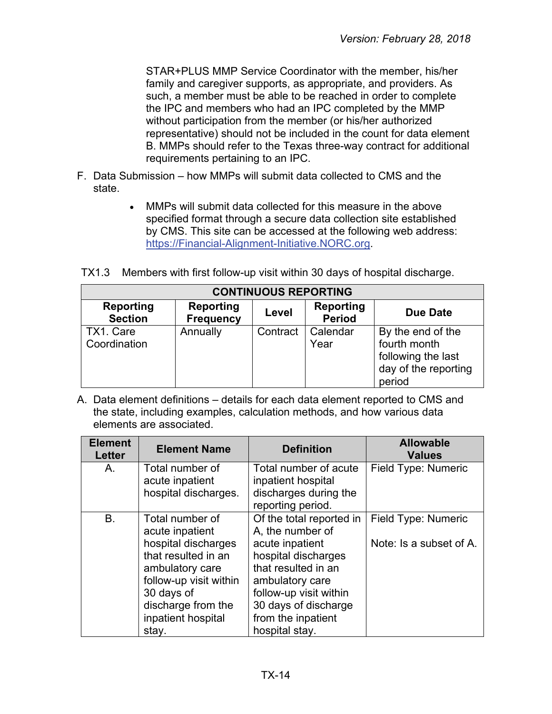STAR+PLUS MMP Service Coordinator with the member, his/her family and caregiver supports, as appropriate, and providers. As such, a member must be able to be reached in order to complete the IPC and members who had an IPC completed by the MMP without participation from the member (or his/her authorized representative) should not be included in the count for data element B. MMPs should refer to the Texas three-way contract for additional requirements pertaining to an IPC.

- F. Data Submission how MMPs will submit data collected to CMS and the state.
	- MMPs will submit data collected for this measure in the above specified format through a secure data collection site established by CMS. This site can be accessed at the following web address: [https://Financial-Alignment-Initiative.NORC.org.](https://financial-alignment-initiative.norc.org/)

TX1.3 Members with first follow-up visit within 30 days of hospital discharge.

| <b>CONTINUOUS REPORTING</b> |                                      |          |                            |                                                                                           |  |  |
|-----------------------------|--------------------------------------|----------|----------------------------|-------------------------------------------------------------------------------------------|--|--|
| Reporting<br><b>Section</b> | <b>Reporting</b><br><b>Frequency</b> | Level    | Reporting<br><b>Period</b> | Due Date                                                                                  |  |  |
| TX1. Care<br>Coordination   | Annually                             | Contract | Calendar<br>Year           | By the end of the<br>fourth month<br>following the last<br>day of the reporting<br>period |  |  |

A. Data element definitions – details for each data element reported to CMS and the state, including examples, calculation methods, and how various data elements are associated.

| <b>Element</b><br><b>Letter</b> | <b>Element Name</b>                                                                                                                                                                              | <b>Definition</b>                                                                                                                                                                                                          | <b>Allowable</b><br><b>Values</b>              |
|---------------------------------|--------------------------------------------------------------------------------------------------------------------------------------------------------------------------------------------------|----------------------------------------------------------------------------------------------------------------------------------------------------------------------------------------------------------------------------|------------------------------------------------|
| A.                              | Total number of<br>acute inpatient<br>hospital discharges.                                                                                                                                       | Total number of acute<br>inpatient hospital<br>discharges during the<br>reporting period.                                                                                                                                  | Field Type: Numeric                            |
| <b>B.</b>                       | Total number of<br>acute inpatient<br>hospital discharges<br>that resulted in an<br>ambulatory care<br>follow-up visit within<br>30 days of<br>discharge from the<br>inpatient hospital<br>stay. | Of the total reported in<br>A, the number of<br>acute inpatient<br>hospital discharges<br>that resulted in an<br>ambulatory care<br>follow-up visit within<br>30 days of discharge<br>from the inpatient<br>hospital stay. | Field Type: Numeric<br>Note: Is a subset of A. |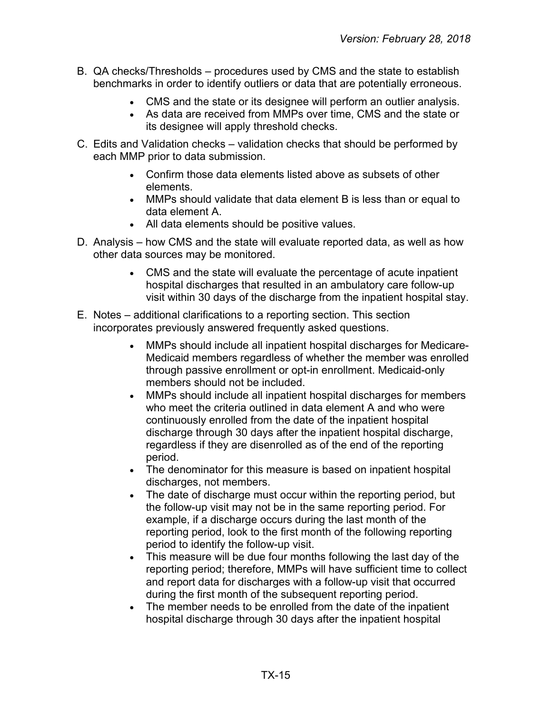- B. QA checks/Thresholds procedures used by CMS and the state to establish benchmarks in order to identify outliers or data that are potentially erroneous.
	- CMS and the state or its designee will perform an outlier analysis.
	- As data are received from MMPs over time, CMS and the state or its designee will apply threshold checks.
- C. Edits and Validation checks validation checks that should be performed by each MMP prior to data submission.
	- Confirm those data elements listed above as subsets of other elements.
	- MMPs should validate that data element B is less than or equal to data element A.
	- All data elements should be positive values.
- D. Analysis how CMS and the state will evaluate reported data, as well as how other data sources may be monitored.
	- CMS and the state will evaluate the percentage of acute inpatient hospital discharges that resulted in an ambulatory care follow-up visit within 30 days of the discharge from the inpatient hospital stay.
- E. Notes additional clarifications to a reporting section. This section incorporates previously answered frequently asked questions.
	- MMPs should include all inpatient hospital discharges for Medicare-Medicaid members regardless of whether the member was enrolled through passive enrollment or opt-in enrollment. Medicaid-only members should not be included.
	- MMPs should include all inpatient hospital discharges for members who meet the criteria outlined in data element A and who were continuously enrolled from the date of the inpatient hospital discharge through 30 days after the inpatient hospital discharge, regardless if they are disenrolled as of the end of the reporting period.
	- The denominator for this measure is based on inpatient hospital discharges, not members.
	- The date of discharge must occur within the reporting period, but the follow-up visit may not be in the same reporting period. For example, if a discharge occurs during the last month of the reporting period, look to the first month of the following reporting period to identify the follow-up visit.
	- This measure will be due four months following the last day of the reporting period; therefore, MMPs will have sufficient time to collect and report data for discharges with a follow-up visit that occurred during the first month of the subsequent reporting period.
	- The member needs to be enrolled from the date of the inpatient hospital discharge through 30 days after the inpatient hospital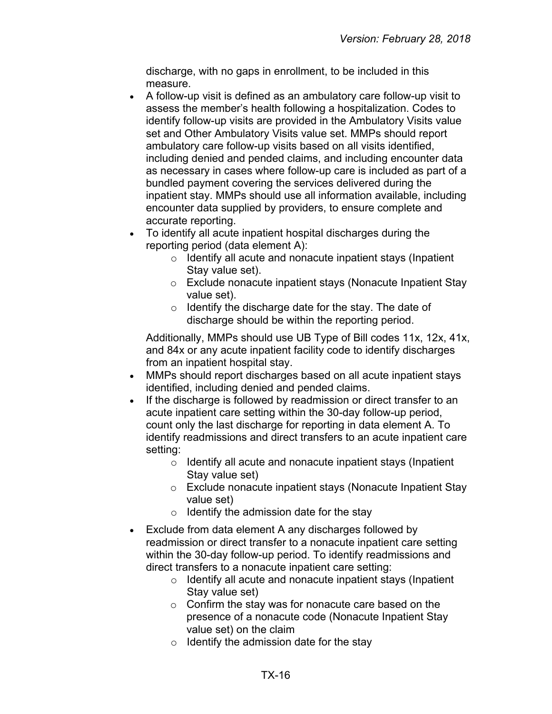discharge, with no gaps in enrollment, to be included in this measure.

- A follow-up visit is defined as an ambulatory care follow-up visit to assess the member's health following a hospitalization. Codes to identify follow-up visits are provided in the Ambulatory Visits value set and Other Ambulatory Visits value set. MMPs should report ambulatory care follow-up visits based on all visits identified, including denied and pended claims, and including encounter data as necessary in cases where follow-up care is included as part of a bundled payment covering the services delivered during the inpatient stay. MMPs should use all information available, including encounter data supplied by providers, to ensure complete and accurate reporting.
- To identify all acute inpatient hospital discharges during the reporting period (data element A):
	- o Identify all acute and nonacute inpatient stays (Inpatient Stay value set).
	- o Exclude nonacute inpatient stays (Nonacute Inpatient Stay value set).
	- $\circ$  Identify the discharge date for the stay. The date of discharge should be within the reporting period.

Additionally, MMPs should use UB Type of Bill codes 11x, 12x, 41x, and 84x or any acute inpatient facility code to identify discharges from an inpatient hospital stay.

- MMPs should report discharges based on all acute inpatient stays identified, including denied and pended claims.
- If the discharge is followed by readmission or direct transfer to an acute inpatient care setting within the 30-day follow-up period, count only the last discharge for reporting in data element A. To identify readmissions and direct transfers to an acute inpatient care setting:
	- o Identify all acute and nonacute inpatient stays (Inpatient Stay value set)
	- o Exclude nonacute inpatient stays (Nonacute Inpatient Stay value set)
	- $\circ$  Identify the admission date for the stay
- Exclude from data element A any discharges followed by readmission or direct transfer to a nonacute inpatient care setting within the 30-day follow-up period. To identify readmissions and direct transfers to a nonacute inpatient care setting:
	- o Identify all acute and nonacute inpatient stays (Inpatient Stay value set)
	- $\circ$  Confirm the stay was for nonacute care based on the presence of a nonacute code (Nonacute Inpatient Stay value set) on the claim
	- $\circ$  Identify the admission date for the stay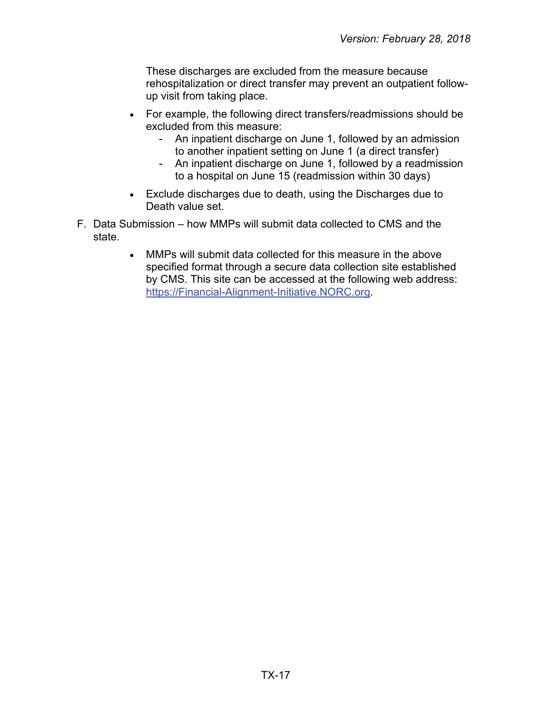These discharges are excluded from the measure because rehospitalization or direct transfer may prevent an outpatient followup visit from taking place.

- For example, the following direct transfers/readmissions should be excluded from this measure:
	- An inpatient discharge on June 1, followed by an admission to another inpatient setting on June 1 (a direct transfer)
	- An inpatient discharge on June 1, followed by a readmission to a hospital on June 15 (readmission within 30 days)
- Exclude discharges due to death, using the Discharges due to Death value set.
- F. Data Submission how MMPs will submit data collected to CMS and the state.
	- MMPs will submit data collected for this measure in the above specified format through a secure data collection site established by CMS. This site can be accessed at the following web address: [https://Financial-Alignment-Initiative.NORC.org.](https://financial-alignment-initiative.norc.org/)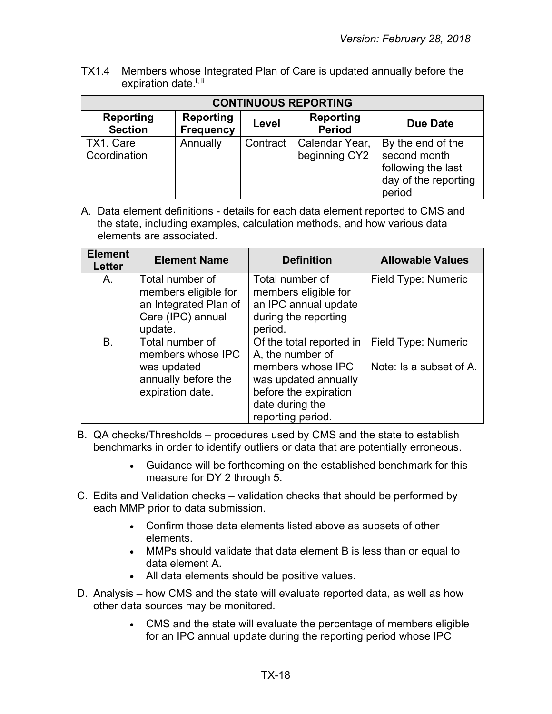TX1.4 Members whose Integrated Plan of Care is updated annually before the expiration date.<sup>i, ii</sup>

| <b>CONTINUOUS REPORTING</b> |                                      |          |                                   |                                                                                           |  |  |  |
|-----------------------------|--------------------------------------|----------|-----------------------------------|-------------------------------------------------------------------------------------------|--|--|--|
| Reporting<br><b>Section</b> | <b>Reporting</b><br><b>Frequency</b> | Level    | <b>Reporting</b><br><b>Period</b> | Due Date                                                                                  |  |  |  |
| TX1. Care<br>Coordination   | Annually                             | Contract | Calendar Year,<br>beginning CY2   | By the end of the<br>second month<br>following the last<br>day of the reporting<br>period |  |  |  |

A. Data element definitions - details for each data element reported to CMS and the state, including examples, calculation methods, and how various data elements are associated.

| <b>Element</b><br>Letter | <b>Element Name</b>                                                                              | <b>Definition</b>                                                                                                                                          | <b>Allowable Values</b>                        |
|--------------------------|--------------------------------------------------------------------------------------------------|------------------------------------------------------------------------------------------------------------------------------------------------------------|------------------------------------------------|
| А.                       | Total number of<br>members eligible for<br>an Integrated Plan of<br>Care (IPC) annual<br>update. | Total number of<br>members eligible for<br>an IPC annual update<br>during the reporting<br>period.                                                         | Field Type: Numeric                            |
| B.                       | Total number of<br>members whose IPC<br>was updated<br>annually before the<br>expiration date.   | Of the total reported in<br>A, the number of<br>members whose IPC<br>was updated annually<br>before the expiration<br>date during the<br>reporting period. | Field Type: Numeric<br>Note: Is a subset of A. |

- B. QA checks/Thresholds procedures used by CMS and the state to establish benchmarks in order to identify outliers or data that are potentially erroneous.
	- Guidance will be forthcoming on the established benchmark for this measure for DY 2 through 5.
- C. Edits and Validation checks validation checks that should be performed by each MMP prior to data submission.
	- Confirm those data elements listed above as subsets of other elements.
	- MMPs should validate that data element B is less than or equal to data element A.
	- All data elements should be positive values.
- D. Analysis how CMS and the state will evaluate reported data, as well as how other data sources may be monitored.
	- CMS and the state will evaluate the percentage of members eligible for an IPC annual update during the reporting period whose IPC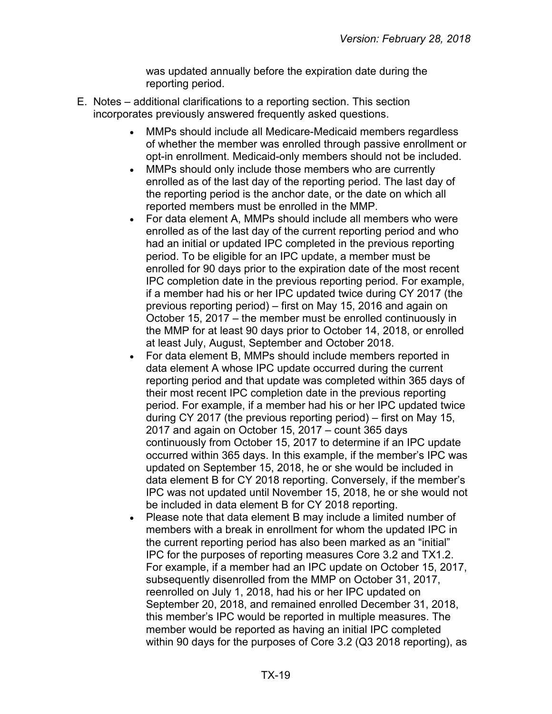was updated annually before the expiration date during the reporting period.

- E. Notes additional clarifications to a reporting section. This section incorporates previously answered frequently asked questions.
	- MMPs should include all Medicare-Medicaid members regardless of whether the member was enrolled through passive enrollment or opt-in enrollment. Medicaid-only members should not be included.
	- MMPs should only include those members who are currently enrolled as of the last day of the reporting period. The last day of the reporting period is the anchor date, or the date on which all reported members must be enrolled in the MMP.
	- For data element A, MMPs should include all members who were enrolled as of the last day of the current reporting period and who had an initial or updated IPC completed in the previous reporting period. To be eligible for an IPC update, a member must be enrolled for 90 days prior to the expiration date of the most recent IPC completion date in the previous reporting period. For example, if a member had his or her IPC updated twice during CY 2017 (the previous reporting period) – first on May 15, 2016 and again on October 15, 2017 – the member must be enrolled continuously in the MMP for at least 90 days prior to October 14, 2018, or enrolled at least July, August, September and October 2018.
	- For data element B, MMPs should include members reported in data element A whose IPC update occurred during the current reporting period and that update was completed within 365 days of their most recent IPC completion date in the previous reporting period. For example, if a member had his or her IPC updated twice during CY 2017 (the previous reporting period) – first on May 15, 2017 and again on October 15, 2017 – count 365 days continuously from October 15, 2017 to determine if an IPC update occurred within 365 days. In this example, if the member's IPC was updated on September 15, 2018, he or she would be included in data element B for CY 2018 reporting. Conversely, if the member's IPC was not updated until November 15, 2018, he or she would not be included in data element B for CY 2018 reporting.
	- Please note that data element B may include a limited number of members with a break in enrollment for whom the updated IPC in the current reporting period has also been marked as an "initial" IPC for the purposes of reporting measures Core 3.2 and TX1.2. For example, if a member had an IPC update on October 15, 2017, subsequently disenrolled from the MMP on October 31, 2017, reenrolled on July 1, 2018, had his or her IPC updated on September 20, 2018, and remained enrolled December 31, 2018, this member's IPC would be reported in multiple measures. The member would be reported as having an initial IPC completed within 90 days for the purposes of Core 3.2 (Q3 2018 reporting), as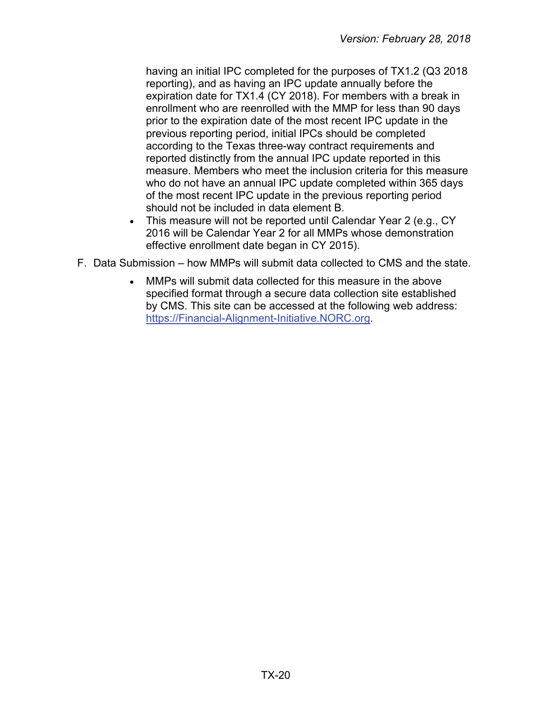having an initial IPC completed for the purposes of TX1.2 (Q3 2018 reporting), and as having an IPC update annually before the expiration date for TX1.4 (CY 2018). For members with a break in enrollment who are reenrolled with the MMP for less than 90 days prior to the expiration date of the most recent IPC update in the previous reporting period, initial IPCs should be completed according to the Texas three-way contract requirements and reported distinctly from the annual IPC update reported in this measure. Members who meet the inclusion criteria for this measure who do not have an annual IPC update completed within 365 days of the most recent IPC update in the previous reporting period should not be included in data element B.

- This measure will not be reported until Calendar Year 2 (e.g., CY 2016 will be Calendar Year 2 for all MMPs whose demonstration effective enrollment date began in CY 2015).
- F. Data Submission how MMPs will submit data collected to CMS and the state.
	- MMPs will submit data collected for this measure in the above specified format through a secure data collection site established by CMS. This site can be accessed at the following web address: [https://Financial-Alignment-Initiative.NORC.org.](https://financial-alignment-initiative.norc.org/)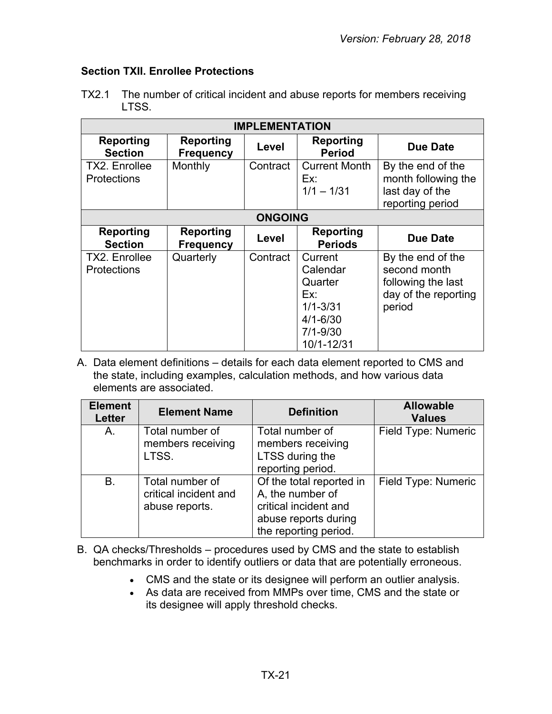## <span id="page-20-0"></span>**Section TXII. Enrollee Protections**

| <b>IMPLEMENTATION</b>                      |                                      |                |                                                                                                     |                                                                                           |  |  |
|--------------------------------------------|--------------------------------------|----------------|-----------------------------------------------------------------------------------------------------|-------------------------------------------------------------------------------------------|--|--|
| <b>Reporting</b><br><b>Section</b>         | <b>Reporting</b><br><b>Frequency</b> | Level          | <b>Reporting</b><br><b>Period</b>                                                                   | <b>Due Date</b>                                                                           |  |  |
| <b>TX2. Enrollee</b><br><b>Protections</b> | Monthly                              | Contract       | <b>Current Month</b><br>Ex:<br>$1/1 - 1/31$                                                         | By the end of the<br>month following the<br>last day of the<br>reporting period           |  |  |
|                                            |                                      | <b>ONGOING</b> |                                                                                                     |                                                                                           |  |  |
| <b>Reporting</b><br><b>Section</b>         | Reporting<br><b>Frequency</b>        | Level          | Reporting<br><b>Periods</b>                                                                         | <b>Due Date</b>                                                                           |  |  |
| <b>TX2. Enrollee</b><br><b>Protections</b> | Quarterly                            | Contract       | Current<br>Calendar<br>Quarter<br>Ex:<br>$1/1 - 3/31$<br>$4/1 - 6/30$<br>$7/1 - 9/30$<br>10/1-12/31 | By the end of the<br>second month<br>following the last<br>day of the reporting<br>period |  |  |

TX2.1 The number of critical incident and abuse reports for members receiving LTSS.

A. Data element definitions – details for each data element reported to CMS and the state, including examples, calculation methods, and how various data elements are associated.

| <b>Element</b><br><b>Letter</b> | <b>Element Name</b>                                        | <b>Definition</b>                                                                                                      | <b>Allowable</b><br><b>Values</b> |
|---------------------------------|------------------------------------------------------------|------------------------------------------------------------------------------------------------------------------------|-----------------------------------|
| A.                              | Total number of<br>members receiving<br>LTSS.              | Total number of<br>members receiving<br>LTSS during the<br>reporting period.                                           | Field Type: Numeric               |
| <b>B.</b>                       | Total number of<br>critical incident and<br>abuse reports. | Of the total reported in<br>A, the number of<br>critical incident and<br>abuse reports during<br>the reporting period. | Field Type: Numeric               |

- B. QA checks/Thresholds procedures used by CMS and the state to establish benchmarks in order to identify outliers or data that are potentially erroneous.
	- CMS and the state or its designee will perform an outlier analysis.
	- As data are received from MMPs over time, CMS and the state or its designee will apply threshold checks.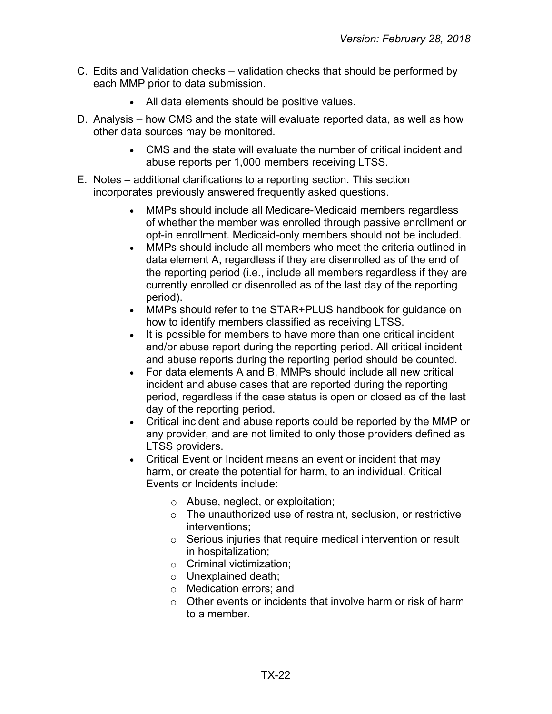- C. Edits and Validation checks validation checks that should be performed by each MMP prior to data submission.
	- All data elements should be positive values.
- D. Analysis how CMS and the state will evaluate reported data, as well as how other data sources may be monitored.
	- CMS and the state will evaluate the number of critical incident and abuse reports per 1,000 members receiving LTSS.
- E. Notes additional clarifications to a reporting section. This section incorporates previously answered frequently asked questions.
	- MMPs should include all Medicare-Medicaid members regardless of whether the member was enrolled through passive enrollment or opt-in enrollment. Medicaid-only members should not be included.
	- MMPs should include all members who meet the criteria outlined in data element A, regardless if they are disenrolled as of the end of the reporting period (i.e., include all members regardless if they are currently enrolled or disenrolled as of the last day of the reporting period).
	- MMPs should refer to the STAR+PLUS handbook for guidance on how to identify members classified as receiving LTSS.
	- It is possible for members to have more than one critical incident and/or abuse report during the reporting period. All critical incident and abuse reports during the reporting period should be counted.
	- For data elements A and B, MMPs should include all new critical incident and abuse cases that are reported during the reporting period, regardless if the case status is open or closed as of the last day of the reporting period.
	- Critical incident and abuse reports could be reported by the MMP or any provider, and are not limited to only those providers defined as LTSS providers.
	- Critical Event or Incident means an event or incident that may harm, or create the potential for harm, to an individual. Critical Events or Incidents include:
		- o Abuse, neglect, or exploitation;
		- o The unauthorized use of restraint, seclusion, or restrictive interventions;
		- o Serious injuries that require medical intervention or result in hospitalization;
		- o Criminal victimization;
		- o Unexplained death;
		- o Medication errors; and
		- $\circ$  Other events or incidents that involve harm or risk of harm to a member.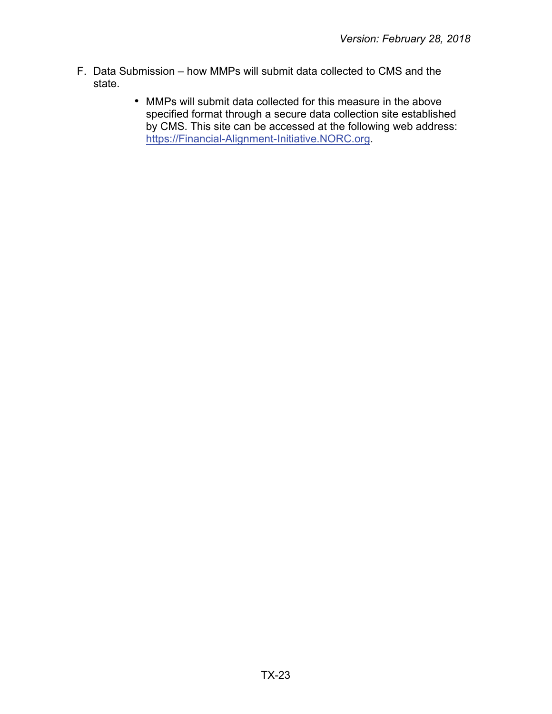- F. Data Submission how MMPs will submit data collected to CMS and the state.
	- MMPs will submit data collected for this measure in the above •specified format through a secure data collection site established by CMS. This site can be accessed at the following web address: [https://Financial-Alignment-Initiative.NORC.org.](https://financial-alignment-initiative.norc.org/)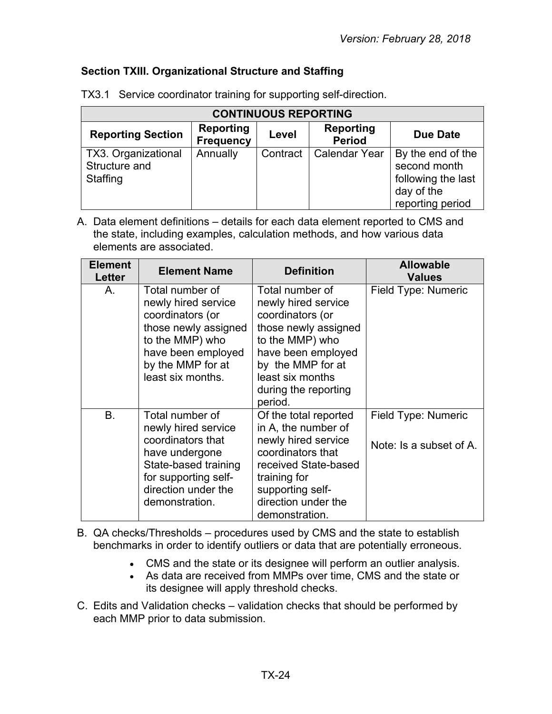#### <span id="page-23-0"></span>**Section TXIII. Organizational Structure and Staffing**

| <b>CONTINUOUS REPORTING</b>                      |                                      |          |                                   |                                                                                           |  |  |
|--------------------------------------------------|--------------------------------------|----------|-----------------------------------|-------------------------------------------------------------------------------------------|--|--|
| <b>Reporting Section</b>                         | <b>Reporting</b><br><b>Frequency</b> | Level    | <b>Reporting</b><br><b>Period</b> | <b>Due Date</b>                                                                           |  |  |
| TX3. Organizational<br>Structure and<br>Staffing | Annually                             | Contract | <b>Calendar Year</b>              | By the end of the<br>second month<br>following the last<br>day of the<br>reporting period |  |  |

TX3.1 Service coordinator training for supporting self-direction.

A. Data element definitions – details for each data element reported to CMS and the state, including examples, calculation methods, and how various data elements are associated.

| <b>Element</b><br>Letter | <b>Element Name</b>                                                                                                                                                    | <b>Definition</b>                                                                                                                                                                                       | <b>Allowable</b><br><b>Values</b>              |
|--------------------------|------------------------------------------------------------------------------------------------------------------------------------------------------------------------|---------------------------------------------------------------------------------------------------------------------------------------------------------------------------------------------------------|------------------------------------------------|
| A.                       | Total number of<br>newly hired service<br>coordinators (or<br>those newly assigned<br>to the MMP) who<br>have been employed<br>by the MMP for at<br>least six months.  | Total number of<br>newly hired service<br>coordinators (or<br>those newly assigned<br>to the MMP) who<br>have been employed<br>by the MMP for at<br>least six months<br>during the reporting<br>period. | Field Type: Numeric                            |
| <b>B.</b>                | Total number of<br>newly hired service<br>coordinators that<br>have undergone<br>State-based training<br>for supporting self-<br>direction under the<br>demonstration. | Of the total reported<br>in A, the number of<br>newly hired service<br>coordinators that<br>received State-based<br>training for<br>supporting self-<br>direction under the<br>demonstration.           | Field Type: Numeric<br>Note: Is a subset of A. |

B. QA checks/Thresholds – procedures used by CMS and the state to establish benchmarks in order to identify outliers or data that are potentially erroneous.

- CMS and the state or its designee will perform an outlier analysis.
- As data are received from MMPs over time, CMS and the state or its designee will apply threshold checks.
- C. Edits and Validation checks validation checks that should be performed by each MMP prior to data submission.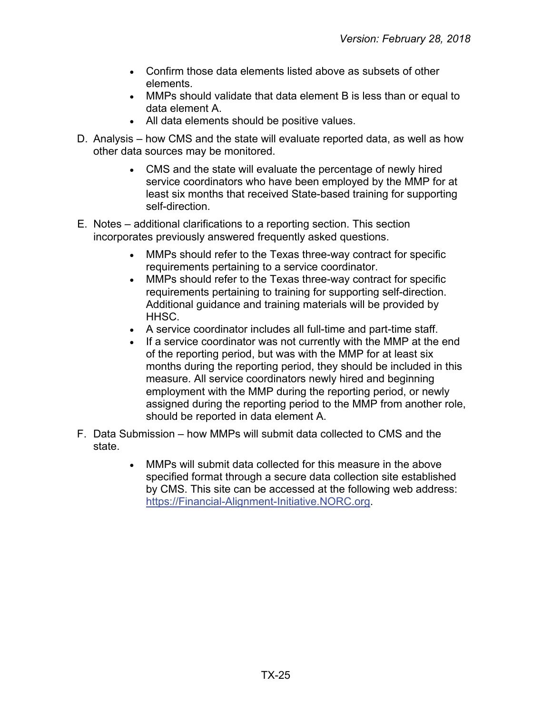- Confirm those data elements listed above as subsets of other elements.
- MMPs should validate that data element B is less than or equal to data element A.
- All data elements should be positive values.
- D. Analysis how CMS and the state will evaluate reported data, as well as how other data sources may be monitored.
	- CMS and the state will evaluate the percentage of newly hired service coordinators who have been employed by the MMP for at least six months that received State-based training for supporting self-direction.
- E. Notes additional clarifications to a reporting section. This section incorporates previously answered frequently asked questions.
	- MMPs should refer to the Texas three-way contract for specific requirements pertaining to a service coordinator.
	- MMPs should refer to the Texas three-way contract for specific requirements pertaining to training for supporting self-direction. Additional guidance and training materials will be provided by HHSC.
	- A service coordinator includes all full-time and part-time staff.
	- If a service coordinator was not currently with the MMP at the end of the reporting period, but was with the MMP for at least six months during the reporting period, they should be included in this measure. All service coordinators newly hired and beginning employment with the MMP during the reporting period, or newly assigned during the reporting period to the MMP from another role, should be reported in data element A.
- F. Data Submission how MMPs will submit data collected to CMS and the state.
	- MMPs will submit data collected for this measure in the above specified format through a secure data collection site established by CMS. This site can be accessed at the following web address: [https://Financial-Alignment-Initiative.NORC.org.](https://financial-alignment-initiative.norc.org/)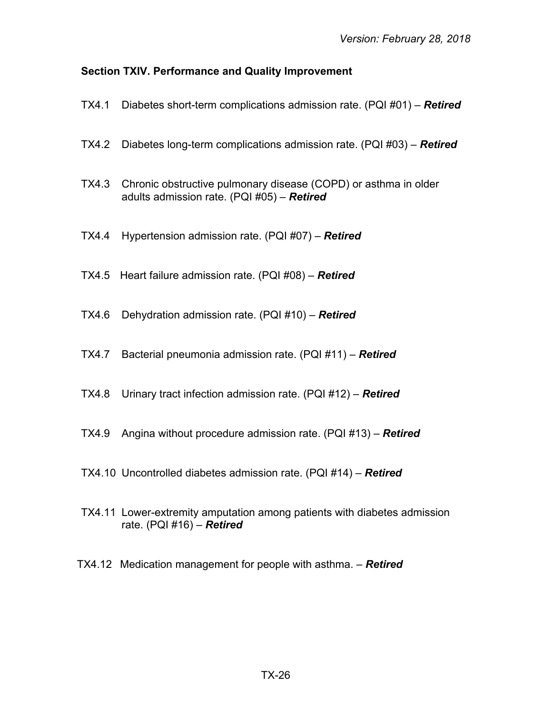# <span id="page-25-0"></span>**Section TXIV. Performance and Quality Improvement**

| TX4.1  | Diabetes short-term complications admission rate. (PQI #01) – Retired                                           |
|--------|-----------------------------------------------------------------------------------------------------------------|
| TX4.2  | Diabetes long-term complications admission rate. (PQI #03) – Retired                                            |
| TX4.3  | Chronic obstructive pulmonary disease (COPD) or asthma in older<br>adults admission rate. (PQI #05) - Retired   |
| TX4.4  | Hypertension admission rate. (PQI #07) - Retired                                                                |
|        | TX4.5 Heart failure admission rate. $(PQI \#08) -$ <b>Retired</b>                                               |
| TX4.6  | Dehydration admission rate. (PQI #10) - Retired                                                                 |
| TX4.7  | Bacterial pneumonia admission rate. (PQI #11) - Retired                                                         |
| TX4.8  | Urinary tract infection admission rate. $(PQI #12) -$ <b>Retired</b>                                            |
| TX4.9  | Angina without procedure admission rate. $(PQI #13) -$ <b>Retired</b>                                           |
|        | TX4.10 Uncontrolled diabetes admission rate. $(PQI #14) -$ <b>Retired</b>                                       |
|        | TX4.11 Lower-extremity amputation among patients with diabetes admission<br>rate. $(PQI \#16) -$ <b>Retired</b> |
| TX4.12 | Medication management for people with asthma. - Retired                                                         |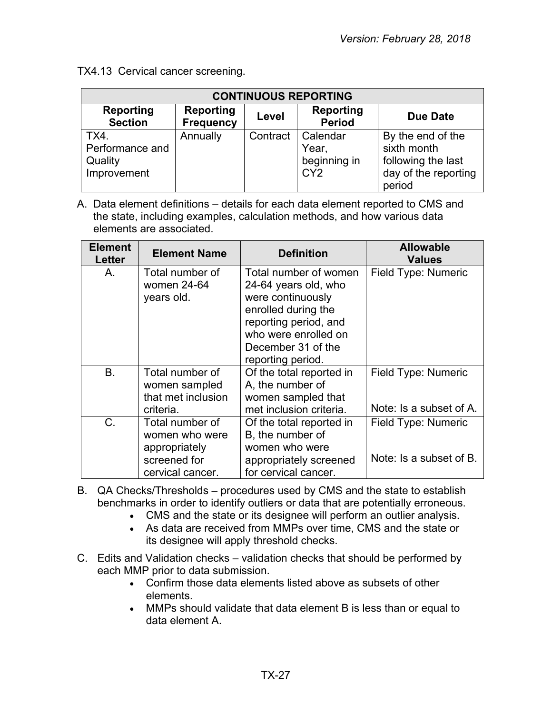TX4.13 Cervical cancer screening.

| <b>CONTINUOUS REPORTING</b>                       |                                      |          |                                                      |                                                                                          |
|---------------------------------------------------|--------------------------------------|----------|------------------------------------------------------|------------------------------------------------------------------------------------------|
| <b>Reporting</b><br><b>Section</b>                | <b>Reporting</b><br><b>Frequency</b> | Level    | <b>Reporting</b><br><b>Period</b>                    | <b>Due Date</b>                                                                          |
| TX4.<br>Performance and<br>Quality<br>Improvement | Annually                             | Contract | Calendar<br>Year,<br>beginning in<br>CY <sub>2</sub> | By the end of the<br>sixth month<br>following the last<br>day of the reporting<br>period |

A. Data element definitions – details for each data element reported to CMS and the state, including examples, calculation methods, and how various data elements are associated.

| <b>Element</b><br><b>Letter</b> | <b>Element Name</b>                                    | <b>Definition</b>                                                    | <b>Allowable</b><br><b>Values</b> |
|---------------------------------|--------------------------------------------------------|----------------------------------------------------------------------|-----------------------------------|
| Α.                              | Total number of<br>women 24-64<br>years old.           | Total number of women<br>24-64 years old, who<br>were continuously   | Field Type: Numeric               |
|                                 |                                                        | enrolled during the<br>reporting period, and<br>who were enrolled on |                                   |
|                                 |                                                        | December 31 of the<br>reporting period.                              |                                   |
| B.                              | Total number of<br>women sampled<br>that met inclusion | Of the total reported in<br>A, the number of<br>women sampled that   | Field Type: Numeric               |
|                                 | criteria.                                              | met inclusion criteria.                                              | Note: Is a subset of A.           |
| $C$ .                           | Total number of<br>women who were                      | Of the total reported in<br>B, the number of                         | Field Type: Numeric               |
|                                 | appropriately<br>screened for<br>cervical cancer.      | women who were<br>appropriately screened<br>for cervical cancer.     | Note: Is a subset of B.           |

- B. QA Checks/Thresholds procedures used by CMS and the state to establish benchmarks in order to identify outliers or data that are potentially erroneous.
	- CMS and the state or its designee will perform an outlier analysis.
	- As data are received from MMPs over time, CMS and the state or its designee will apply threshold checks.
- C. Edits and Validation checks validation checks that should be performed by each MMP prior to data submission.
	- Confirm those data elements listed above as subsets of other elements.
	- MMPs should validate that data element B is less than or equal to data element A.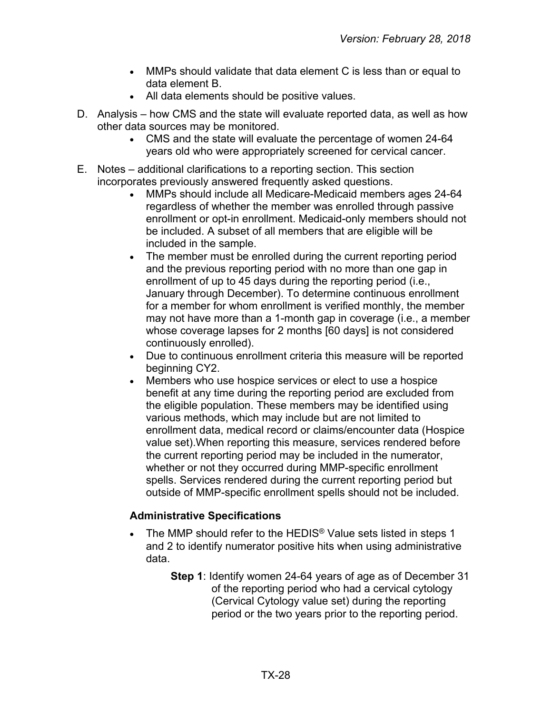- MMPs should validate that data element C is less than or equal to data element B.
- All data elements should be positive values.
- D. Analysis how CMS and the state will evaluate reported data, as well as how other data sources may be monitored.
	- CMS and the state will evaluate the percentage of women 24-64 years old who were appropriately screened for cervical cancer.
- E. Notes additional clarifications to a reporting section. This section incorporates previously answered frequently asked questions.
	- MMPs should include all Medicare-Medicaid members ages 24-64 regardless of whether the member was enrolled through passive enrollment or opt-in enrollment. Medicaid-only members should not be included. A subset of all members that are eligible will be included in the sample.
	- The member must be enrolled during the current reporting period and the previous reporting period with no more than one gap in enrollment of up to 45 days during the reporting period (i.e., January through December). To determine continuous enrollment for a member for whom enrollment is verified monthly, the member may not have more than a 1-month gap in coverage (i.e., a member whose coverage lapses for 2 months [60 days] is not considered continuously enrolled).
	- Due to continuous enrollment criteria this measure will be reported beginning CY2.
	- Members who use hospice services or elect to use a hospice benefit at any time during the reporting period are excluded from the eligible population. These members may be identified using various methods, which may include but are not limited to enrollment data, medical record or claims/encounter data (Hospice value set).When reporting this measure, services rendered before the current reporting period may be included in the numerator, whether or not they occurred during MMP-specific enrollment spells. Services rendered during the current reporting period but outside of MMP-specific enrollment spells should not be included.

#### **Administrative Specifications**

- The MMP should refer to the HEDIS<sup>®</sup> Value sets listed in steps 1 and 2 to identify numerator positive hits when using administrative data.
	- **Step 1**: Identify women 24-64 years of age as of December 31 of the reporting period who had a cervical cytology (Cervical Cytology value set) during the reporting period or the two years prior to the reporting period.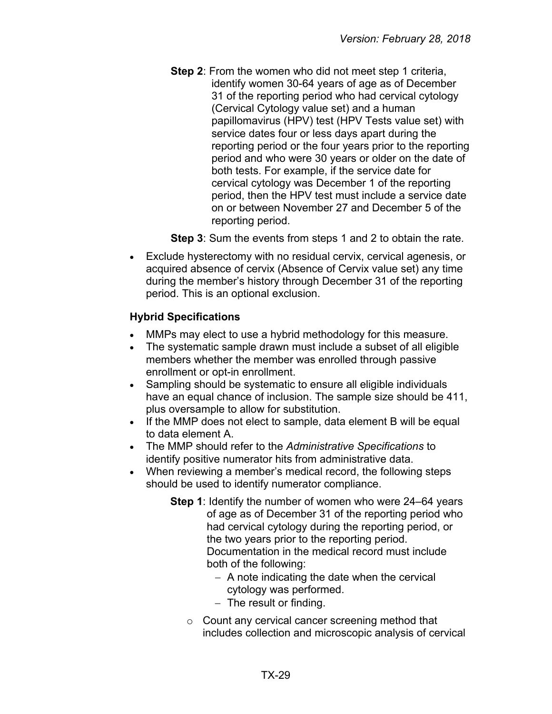**Step 2:** From the women who did not meet step 1 criteria, identify women 30-64 years of age as of December 31 of the reporting period who had cervical cytology (Cervical Cytology value set) and a human papillomavirus (HPV) test (HPV Tests value set) with service dates four or less days apart during the reporting period or the four years prior to the reporting period and who were 30 years or older on the date of both tests. For example, if the service date for cervical cytology was December 1 of the reporting period, then the HPV test must include a service date on or between November 27 and December 5 of the reporting period.

**Step 3**: Sum the events from steps 1 and 2 to obtain the rate.

• Exclude hysterectomy with no residual cervix, cervical agenesis, or acquired absence of cervix (Absence of Cervix value set) any time during the member's history through December 31 of the reporting period. This is an optional exclusion.

# **Hybrid Specifications**

- MMPs may elect to use a hybrid methodology for this measure.
- The systematic sample drawn must include a subset of all eligible members whether the member was enrolled through passive enrollment or opt-in enrollment.
- Sampling should be systematic to ensure all eligible individuals have an equal chance of inclusion. The sample size should be 411, plus oversample to allow for substitution.
- If the MMP does not elect to sample, data element B will be equal to data element A.
- The MMP should refer to the *Administrative Specifications* to identify positive numerator hits from administrative data.
- When reviewing a member's medical record, the following steps should be used to identify numerator compliance.
	- **Step 1**: Identify the number of women who were 24–64 years of age as of December 31 of the reporting period who had cervical cytology during the reporting period, or the two years prior to the reporting period. Documentation in the medical record must include both of the following:
		- − A note indicating the date when the cervical cytology was performed.
		- − The result or finding.
		- o Count any cervical cancer screening method that includes collection and microscopic analysis of cervical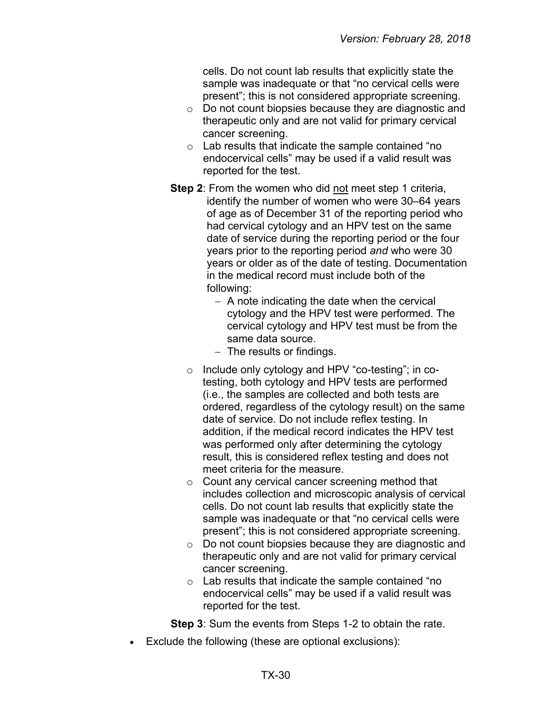cells. Do not count lab results that explicitly state the sample was inadequate or that "no cervical cells were present"; this is not considered appropriate screening.

- o Do not count biopsies because they are diagnostic and therapeutic only and are not valid for primary cervical cancer screening.
- $\circ$  Lab results that indicate the sample contained "no endocervical cells" may be used if a valid result was reported for the test.
- **Step 2:** From the women who did not meet step 1 criteria, identify the number of women who were 30–64 years of age as of December 31 of the reporting period who had cervical cytology and an HPV test on the same date of service during the reporting period or the four years prior to the reporting period *and* who were 30 years or older as of the date of testing. Documentation in the medical record must include both of the following:
	- − A note indicating the date when the cervical cytology and the HPV test were performed. The cervical cytology and HPV test must be from the same data source.
	- − The results or findings.
	- o Include only cytology and HPV "co-testing"; in cotesting, both cytology and HPV tests are performed (i.e., the samples are collected and both tests are ordered, regardless of the cytology result) on the same date of service. Do not include reflex testing. In addition, if the medical record indicates the HPV test was performed only after determining the cytology result, this is considered reflex testing and does not meet criteria for the measure.
	- o Count any cervical cancer screening method that includes collection and microscopic analysis of cervical cells. Do not count lab results that explicitly state the sample was inadequate or that "no cervical cells were present"; this is not considered appropriate screening.
	- o Do not count biopsies because they are diagnostic and therapeutic only and are not valid for primary cervical cancer screening.
	- $\circ$  Lab results that indicate the sample contained "no endocervical cells" may be used if a valid result was reported for the test.

**Step 3**: Sum the events from Steps 1-2 to obtain the rate.

Exclude the following (these are optional exclusions):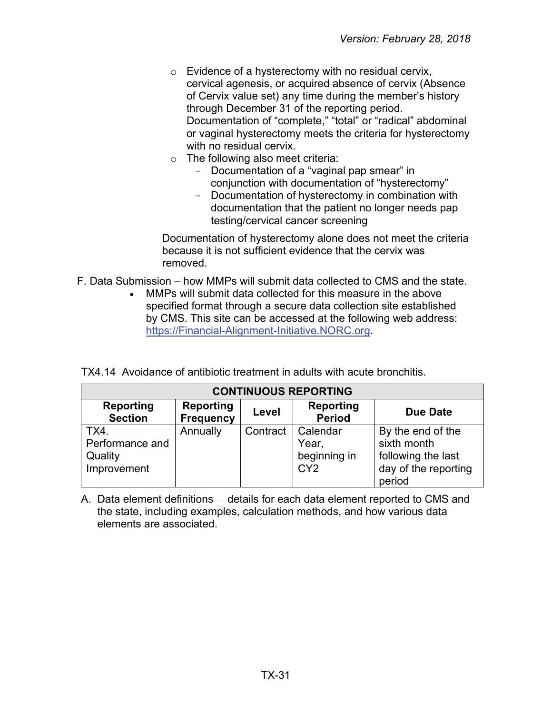- $\circ$  Evidence of a hysterectomy with no residual cervix, cervical agenesis, or acquired absence of cervix (Absence of Cervix value set) any time during the member's history through December 31 of the reporting period. Documentation of "complete," "total" or "radical" abdominal or vaginal hysterectomy meets the criteria for hysterectomy with no residual cervix.
- $\circ$  The following also meet criteria:
	- Documentation of a "vaginal pap smear" in conjunction with documentation of "hysterectomy"
	- Documentation of hysterectomy in combination with documentation that the patient no longer needs pap testing/cervical cancer screening

Documentation of hysterectomy alone does not meet the criteria because it is not sufficient evidence that the cervix was removed.

- F. Data Submission how MMPs will submit data collected to CMS and the state.
	- MMPs will submit data collected for this measure in the above specified format through a secure data collection site established by CMS. This site can be accessed at the following web address: [https://Financial-Alignment-Initiative.NORC.org.](https://financial-alignment-initiative.norc.org/)

|  |  |  |  |  | TX4.14 Avoidance of antibiotic treatment in adults with acute bronchitis. |
|--|--|--|--|--|---------------------------------------------------------------------------|
|--|--|--|--|--|---------------------------------------------------------------------------|

| <b>CONTINUOUS REPORTING</b>                       |                                      |          |                                                      |                                                                                          |
|---------------------------------------------------|--------------------------------------|----------|------------------------------------------------------|------------------------------------------------------------------------------------------|
| <b>Reporting</b><br><b>Section</b>                | <b>Reporting</b><br><b>Frequency</b> | Level    | Reporting<br><b>Period</b>                           | <b>Due Date</b>                                                                          |
| TX4.<br>Performance and<br>Quality<br>Improvement | Annually                             | Contract | Calendar<br>Year,<br>beginning in<br>CY <sub>2</sub> | By the end of the<br>sixth month<br>following the last<br>day of the reporting<br>period |

A. Data element definitions – details for each data element reported to CMS and the state, including examples, calculation methods, and how various data elements are associated.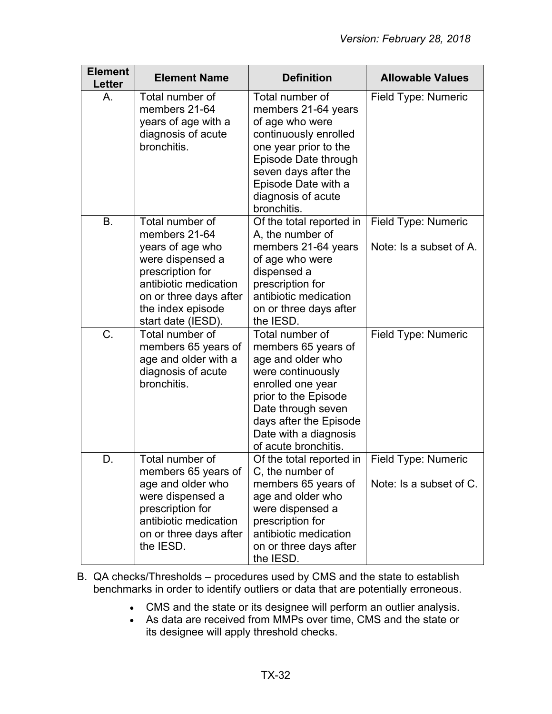| <b>Element</b><br>Letter | <b>Element Name</b>                                                                                                                                                                        | <b>Definition</b>                                                                                                                                                                                                              | <b>Allowable Values</b>                        |
|--------------------------|--------------------------------------------------------------------------------------------------------------------------------------------------------------------------------------------|--------------------------------------------------------------------------------------------------------------------------------------------------------------------------------------------------------------------------------|------------------------------------------------|
| Α.                       | Total number of<br>members 21-64<br>years of age with a<br>diagnosis of acute<br>bronchitis.                                                                                               | Total number of<br>members 21-64 years<br>of age who were<br>continuously enrolled<br>one year prior to the<br>Episode Date through<br>seven days after the<br>Episode Date with a<br>diagnosis of acute<br>bronchitis.        | Field Type: Numeric                            |
| <b>B.</b>                | Total number of<br>members 21-64<br>years of age who<br>were dispensed a<br>prescription for<br>antibiotic medication<br>on or three days after<br>the index episode<br>start date (IESD). | Of the total reported in<br>A, the number of<br>members 21-64 years<br>of age who were<br>dispensed a<br>prescription for<br>antibiotic medication<br>on or three days after<br>the IESD.                                      | Field Type: Numeric<br>Note: Is a subset of A. |
| C.                       | Total number of<br>members 65 years of<br>age and older with a<br>diagnosis of acute<br>bronchitis.                                                                                        | Total number of<br>members 65 years of<br>age and older who<br>were continuously<br>enrolled one year<br>prior to the Episode<br>Date through seven<br>days after the Episode<br>Date with a diagnosis<br>of acute bronchitis. | Field Type: Numeric                            |
| D.                       | Total number of<br>members 65 years of<br>age and older who<br>were dispensed a<br>prescription for<br>antibiotic medication<br>on or three days after<br>the IESD.                        | Of the total reported in<br>C, the number of<br>members 65 years of<br>age and older who<br>were dispensed a<br>prescription for<br>antibiotic medication<br>on or three days after<br>the IESD.                               | Field Type: Numeric<br>Note: Is a subset of C. |

- B. QA checks/Thresholds procedures used by CMS and the state to establish benchmarks in order to identify outliers or data that are potentially erroneous.
	- CMS and the state or its designee will perform an outlier analysis.
	- As data are received from MMPs over time, CMS and the state or its designee will apply threshold checks.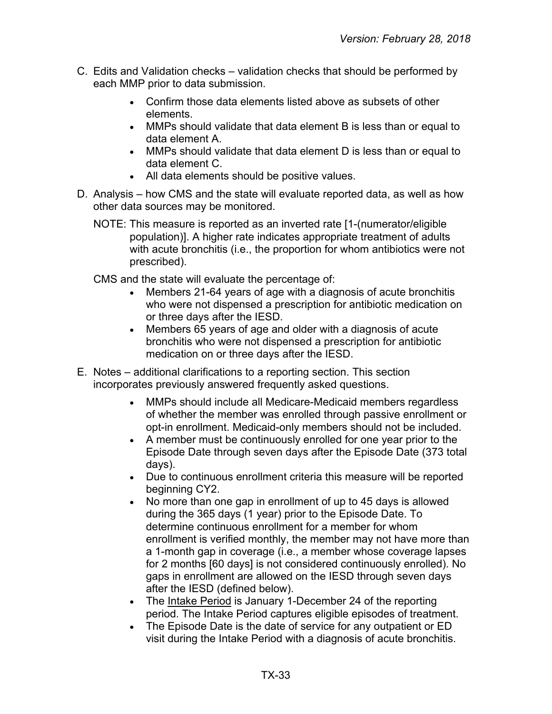- C. Edits and Validation checks validation checks that should be performed by each MMP prior to data submission.
	- Confirm those data elements listed above as subsets of other elements.
	- MMPs should validate that data element B is less than or equal to data element A.
	- MMPs should validate that data element D is less than or equal to data element C.
	- All data elements should be positive values.
- D. Analysis how CMS and the state will evaluate reported data, as well as how other data sources may be monitored.
	- NOTE: This measure is reported as an inverted rate [1-(numerator/eligible population)]. A higher rate indicates appropriate treatment of adults with acute bronchitis (i.e., the proportion for whom antibiotics were not prescribed).

CMS and the state will evaluate the percentage of:

- Members 21-64 years of age with a diagnosis of acute bronchitis who were not dispensed a prescription for antibiotic medication on or three days after the IESD.
- Members 65 years of age and older with a diagnosis of acute bronchitis who were not dispensed a prescription for antibiotic medication on or three days after the IESD.
- E. Notes additional clarifications to a reporting section. This section incorporates previously answered frequently asked questions.
	- MMPs should include all Medicare-Medicaid members regardless of whether the member was enrolled through passive enrollment or opt-in enrollment. Medicaid-only members should not be included.
	- A member must be continuously enrolled for one year prior to the Episode Date through seven days after the Episode Date (373 total days).
	- Due to continuous enrollment criteria this measure will be reported beginning CY2.
	- No more than one gap in enrollment of up to 45 days is allowed during the 365 days (1 year) prior to the Episode Date. To determine continuous enrollment for a member for whom enrollment is verified monthly, the member may not have more than a 1-month gap in coverage (i.e., a member whose coverage lapses for 2 months [60 days] is not considered continuously enrolled). No gaps in enrollment are allowed on the IESD through seven days after the IESD (defined below).
	- The Intake Period is January 1-December 24 of the reporting period. The Intake Period captures eligible episodes of treatment.
	- The Episode Date is the date of service for any outpatient or ED visit during the Intake Period with a diagnosis of acute bronchitis.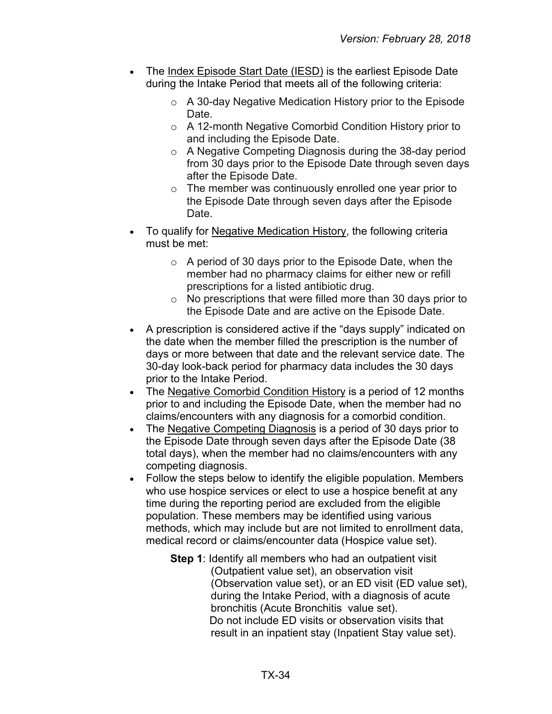- The Index Episode Start Date (IESD) is the earliest Episode Date during the Intake Period that meets all of the following criteria:
	- $\circ$  A 30-day Negative Medication History prior to the Episode Date.
	- o A 12-month Negative Comorbid Condition History prior to and including the Episode Date.
	- o A Negative Competing Diagnosis during the 38-day period from 30 days prior to the Episode Date through seven days after the Episode Date.
	- $\circ$  The member was continuously enrolled one year prior to the Episode Date through seven days after the Episode Date.
- To qualify for Negative Medication History, the following criteria must be met:
	- $\circ$  A period of 30 days prior to the Episode Date, when the member had no pharmacy claims for either new or refill prescriptions for a listed antibiotic drug.
	- $\circ$  No prescriptions that were filled more than 30 days prior to the Episode Date and are active on the Episode Date.
- A prescription is considered active if the "days supply" indicated on the date when the member filled the prescription is the number of days or more between that date and the relevant service date. The 30-day look-back period for pharmacy data includes the 30 days prior to the Intake Period.
- The Negative Comorbid Condition History is a period of 12 months prior to and including the Episode Date, when the member had no claims/encounters with any diagnosis for a comorbid condition.
- The Negative Competing Diagnosis is a period of 30 days prior to the Episode Date through seven days after the Episode Date (38 total days), when the member had no claims/encounters with any competing diagnosis.
- Follow the steps below to identify the eligible population. Members who use hospice services or elect to use a hospice benefit at any time during the reporting period are excluded from the eligible population. These members may be identified using various methods, which may include but are not limited to enrollment data, medical record or claims/encounter data (Hospice value set).
	- **Step 1**: Identify all members who had an outpatient visit (Outpatient value set), an observation visit (Observation value set), or an ED visit (ED value set), during the Intake Period, with a diagnosis of acute bronchitis (Acute Bronchitis value set). Do not include ED visits or observation visits that result in an inpatient stay (Inpatient Stay value set).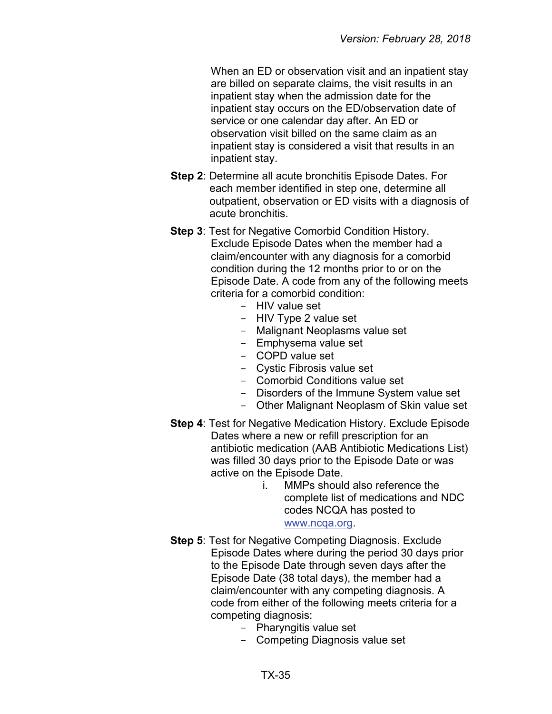When an ED or observation visit and an inpatient stay are billed on separate claims, the visit results in an inpatient stay when the admission date for the inpatient stay occurs on the ED/observation date of service or one calendar day after. An ED or observation visit billed on the same claim as an inpatient stay is considered a visit that results in an inpatient stay.

- **Step 2**: Determine all acute bronchitis Episode Dates. For each member identified in step one, determine all outpatient, observation or ED visits with a diagnosis of acute bronchitis.
- **Step 3**: Test for Negative Comorbid Condition History. Exclude Episode Dates when the member had a claim/encounter with any diagnosis for a comorbid condition during the 12 months prior to or on the Episode Date. A code from any of the following meets criteria for a comorbid condition:
	- $-$  HIV value set
	- HIV Type 2 value set
	- Malignant Neoplasms value set
	- Emphysema value set
	- COPD value set
	- Cystic Fibrosis value set
	- Comorbid Conditions value set
	- Disorders of the Immune System value set
	- Other Malignant Neoplasm of Skin value set
- **Step 4**: Test for Negative Medication History. Exclude Episode Dates where a new or refill prescription for an antibiotic medication (AAB Antibiotic Medications List) was filled 30 days prior to the Episode Date or was active on the Episode Date.
	- i. MMPs should also reference the complete list of medications and NDC codes NCQA has posted to [www.ncqa.org.](http://www.ncqa.org/)
- **Step 5**: Test for Negative Competing Diagnosis. Exclude Episode Dates where during the period 30 days prior to the Episode Date through seven days after the Episode Date (38 total days), the member had a claim/encounter with any competing diagnosis. A code from either of the following meets criteria for a competing diagnosis:
	- Pharyngitis value set
	- Competing Diagnosis value set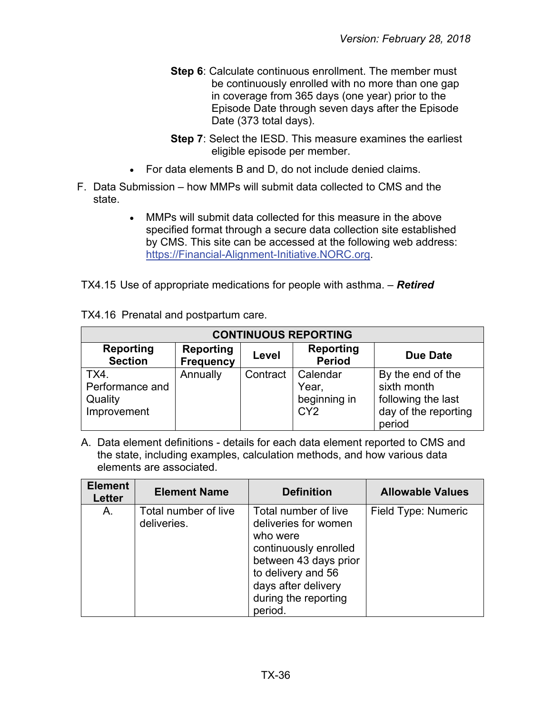- **Step 6:** Calculate continuous enrollment. The member must be continuously enrolled with no more than one gap in coverage from 365 days (one year) prior to the Episode Date through seven days after the Episode Date (373 total days).
- **Step 7**: Select the IESD. This measure examines the earliest eligible episode per member.
- For data elements B and D, do not include denied claims.
- F. Data Submission how MMPs will submit data collected to CMS and the state.
	- MMPs will submit data collected for this measure in the above specified format through a secure data collection site established by CMS. This site can be accessed at the following web address: [https://Financial-Alignment-Initiative.NORC.org.](https://financial-alignment-initiative.norc.org/)

TX4.15 Use of appropriate medications for people with asthma. – *Retired*

|  | TX4.16 Prenatal and postpartum care. |  |
|--|--------------------------------------|--|
|--|--------------------------------------|--|

| <b>CONTINUOUS REPORTING</b>                       |                                      |          |                                                      |                                                                                          |
|---------------------------------------------------|--------------------------------------|----------|------------------------------------------------------|------------------------------------------------------------------------------------------|
| <b>Reporting</b><br><b>Section</b>                | <b>Reporting</b><br><b>Frequency</b> | Level    | Reporting<br><b>Period</b>                           | <b>Due Date</b>                                                                          |
| TX4.<br>Performance and<br>Quality<br>Improvement | Annually                             | Contract | Calendar<br>Year,<br>beginning in<br>CY <sub>2</sub> | By the end of the<br>sixth month<br>following the last<br>day of the reporting<br>period |

A. Data element definitions - details for each data element reported to CMS and the state, including examples, calculation methods, and how various data elements are associated.

| <b>Element</b><br><b>Letter</b> | <b>Element Name</b>                 | <b>Definition</b>                                                                                                                                                                          | <b>Allowable Values</b> |
|---------------------------------|-------------------------------------|--------------------------------------------------------------------------------------------------------------------------------------------------------------------------------------------|-------------------------|
| Α.                              | Total number of live<br>deliveries. | Total number of live<br>deliveries for women<br>who were<br>continuously enrolled<br>between 43 days prior<br>to delivery and 56<br>days after delivery<br>during the reporting<br>period. | Field Type: Numeric     |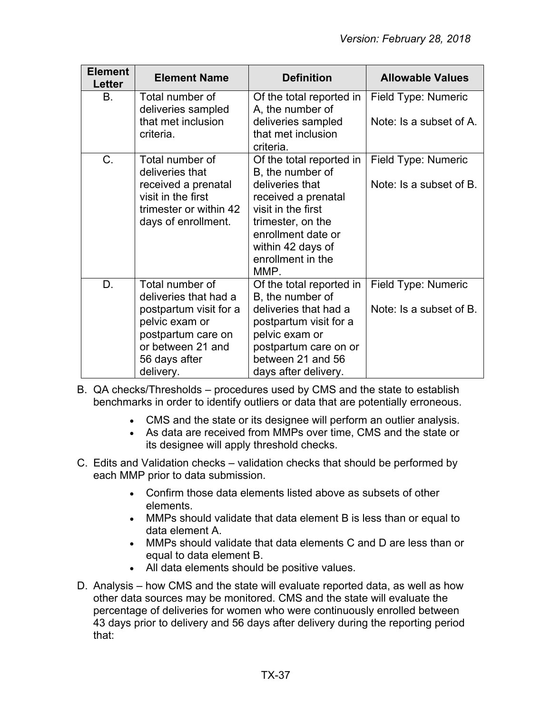| <b>Element</b><br>Letter | <b>Element Name</b>                                                                                                                                           | <b>Definition</b>                                                                                                                                                                                         | <b>Allowable Values</b>                        |
|--------------------------|---------------------------------------------------------------------------------------------------------------------------------------------------------------|-----------------------------------------------------------------------------------------------------------------------------------------------------------------------------------------------------------|------------------------------------------------|
| В.                       | Total number of<br>deliveries sampled<br>that met inclusion<br>criteria.                                                                                      | Of the total reported in<br>A, the number of<br>deliveries sampled<br>that met inclusion<br>criteria.                                                                                                     | Field Type: Numeric<br>Note: Is a subset of A. |
| C.                       | Total number of<br>deliveries that<br>received a prenatal<br>visit in the first<br>trimester or within 42<br>days of enrollment.                              | Of the total reported in<br>B, the number of<br>deliveries that<br>received a prenatal<br>visit in the first<br>trimester, on the<br>enrollment date or<br>within 42 days of<br>enrollment in the<br>MMP. | Field Type: Numeric<br>Note: Is a subset of B. |
| D.                       | Total number of<br>deliveries that had a<br>postpartum visit for a<br>pelvic exam or<br>postpartum care on<br>or between 21 and<br>56 days after<br>delivery. | Of the total reported in<br>B, the number of<br>deliveries that had a<br>postpartum visit for a<br>pelvic exam or<br>postpartum care on or<br>between 21 and 56<br>days after delivery.                   | Field Type: Numeric<br>Note: Is a subset of B. |

- B. QA checks/Thresholds procedures used by CMS and the state to establish benchmarks in order to identify outliers or data that are potentially erroneous.
	- CMS and the state or its designee will perform an outlier analysis.
	- As data are received from MMPs over time, CMS and the state or its designee will apply threshold checks.
- C. Edits and Validation checks validation checks that should be performed by each MMP prior to data submission.
	- Confirm those data elements listed above as subsets of other elements.
	- MMPs should validate that data element B is less than or equal to data element A.
	- MMPs should validate that data elements C and D are less than or equal to data element B.
	- All data elements should be positive values.
- D. Analysis how CMS and the state will evaluate reported data, as well as how other data sources may be monitored. CMS and the state will evaluate the percentage of deliveries for women who were continuously enrolled between 43 days prior to delivery and 56 days after delivery during the reporting period that: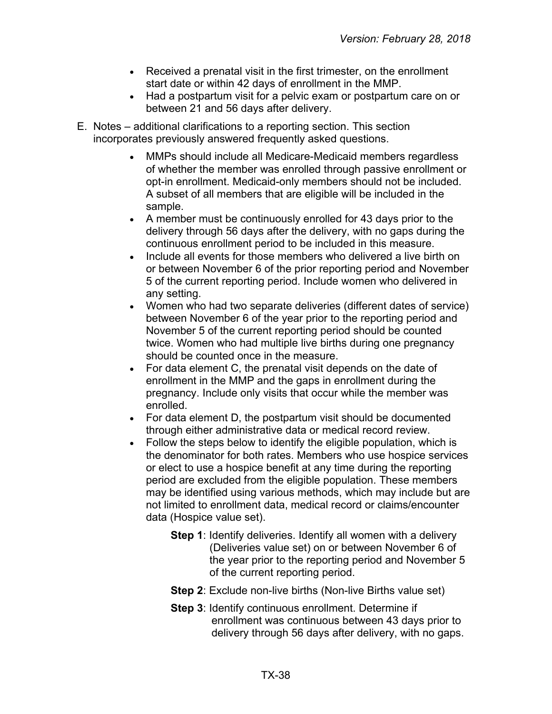- Received a prenatal visit in the first trimester, on the enrollment start date or within 42 days of enrollment in the MMP.
- Had a postpartum visit for a pelvic exam or postpartum care on or between 21 and 56 days after delivery.
- E. Notes additional clarifications to a reporting section. This section incorporates previously answered frequently asked questions.
	- MMPs should include all Medicare-Medicaid members regardless of whether the member was enrolled through passive enrollment or opt-in enrollment. Medicaid-only members should not be included. A subset of all members that are eligible will be included in the sample.
	- A member must be continuously enrolled for 43 days prior to the delivery through 56 days after the delivery, with no gaps during the continuous enrollment period to be included in this measure.
	- Include all events for those members who delivered a live birth on or between November 6 of the prior reporting period and November 5 of the current reporting period. Include women who delivered in any setting.
	- Women who had two separate deliveries (different dates of service) between November 6 of the year prior to the reporting period and November 5 of the current reporting period should be counted twice. Women who had multiple live births during one pregnancy should be counted once in the measure.
	- For data element C, the prenatal visit depends on the date of enrollment in the MMP and the gaps in enrollment during the pregnancy. Include only visits that occur while the member was enrolled.
	- For data element D, the postpartum visit should be documented through either administrative data or medical record review.
	- Follow the steps below to identify the eligible population, which is the denominator for both rates. Members who use hospice services or elect to use a hospice benefit at any time during the reporting period are excluded from the eligible population. These members may be identified using various methods, which may include but are not limited to enrollment data, medical record or claims/encounter data (Hospice value set).
		- **Step 1**: Identify deliveries. Identify all women with a delivery (Deliveries value set) on or between November 6 of the year prior to the reporting period and November 5 of the current reporting period.
		- **Step 2**: Exclude non-live births (Non-live Births value set)
		- **Step 3**: Identify continuous enrollment. Determine if enrollment was continuous between 43 days prior to delivery through 56 days after delivery, with no gaps.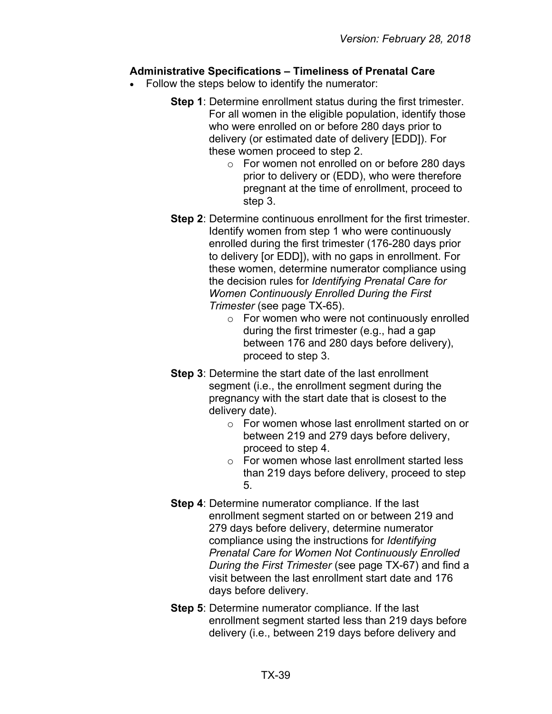#### **Administrative Specifications – Timeliness of Prenatal Care**

- Follow the steps below to identify the numerator:
	- **Step 1**: Determine enrollment status during the first trimester. For all women in the eligible population, identify those who were enrolled on or before 280 days prior to delivery (or estimated date of delivery [EDD]). For these women proceed to step 2.
		- o For women not enrolled on or before 280 days prior to delivery or (EDD), who were therefore pregnant at the time of enrollment, proceed to step 3.
	- **Step 2**: Determine continuous enrollment for the first trimester. Identify women from step 1 who were continuously enrolled during the first trimester (176-280 days prior to delivery [or EDD]), with no gaps in enrollment. For these women, determine numerator compliance using the decision rules for *Identifying Prenatal Care for Women Continuously Enrolled During the First Trimester* (see page TX-65).
		- o For women who were not continuously enrolled during the first trimester (e.g., had a gap between 176 and 280 days before delivery), proceed to step 3.
	- **Step 3**: Determine the start date of the last enrollment segment (i.e., the enrollment segment during the pregnancy with the start date that is closest to the delivery date).
		- o For women whose last enrollment started on or between 219 and 279 days before delivery, proceed to step 4.
		- o For women whose last enrollment started less than 219 days before delivery, proceed to step 5.
	- **Step 4**: Determine numerator compliance. If the last enrollment segment started on or between 219 and 279 days before delivery, determine numerator compliance using the instructions for *Identifying Prenatal Care for Women Not Continuously Enrolled During the First Trimester* (see page TX-67) and find a visit between the last enrollment start date and 176 days before delivery.
	- **Step 5**: Determine numerator compliance. If the last enrollment segment started less than 219 days before delivery (i.e., between 219 days before delivery and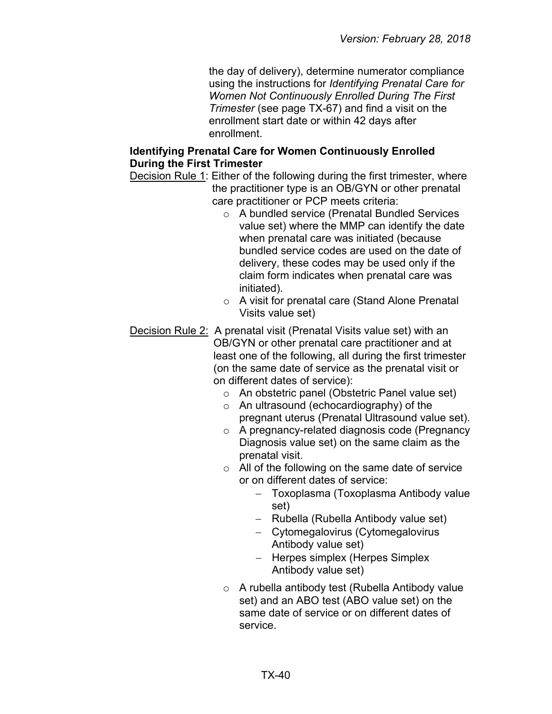the day of delivery), determine numerator compliance using the instructions for *Identifying Prenatal Care for Women Not Continuously Enrolled During The First Trimester* (see page TX-67) and find a visit on the enrollment start date or within 42 days after enrollment.

#### **Identifying Prenatal Care for Women Continuously Enrolled During the First Trimester**

Decision Rule 1: Either of the following during the first trimester, where the practitioner type is an OB/GYN or other prenatal care practitioner or PCP meets criteria:

- o A bundled service (Prenatal Bundled Services value set) where the MMP can identify the date when prenatal care was initiated (because bundled service codes are used on the date of delivery, these codes may be used only if the claim form indicates when prenatal care was initiated).
- o A visit for prenatal care (Stand Alone Prenatal Visits value set)
- Decision Rule 2: A prenatal visit (Prenatal Visits value set) with an OB/GYN or other prenatal care practitioner and at least one of the following, all during the first trimester (on the same date of service as the prenatal visit or on different dates of service):
	- o An obstetric panel (Obstetric Panel value set)
	- o An ultrasound (echocardiography) of the pregnant uterus (Prenatal Ultrasound value set).
	- o A pregnancy-related diagnosis code (Pregnancy Diagnosis value set) on the same claim as the prenatal visit.
	- $\circ$  All of the following on the same date of service or on different dates of service:
		- − Toxoplasma (Toxoplasma Antibody value set)
		- − Rubella (Rubella Antibody value set)
		- − Cytomegalovirus (Cytomegalovirus Antibody value set)
		- − Herpes simplex (Herpes Simplex Antibody value set)
	- o A rubella antibody test (Rubella Antibody value set) and an ABO test (ABO value set) on the same date of service or on different dates of service.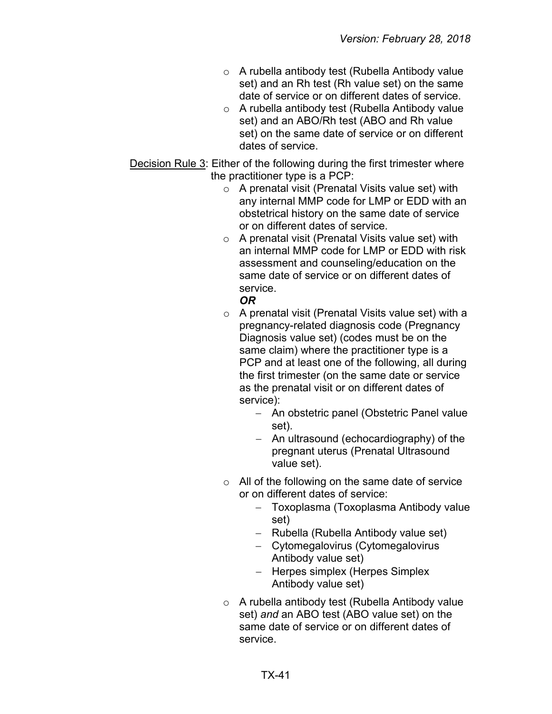- o A rubella antibody test (Rubella Antibody value set) and an Rh test (Rh value set) on the same date of service or on different dates of service.
- o A rubella antibody test (Rubella Antibody value set) and an ABO/Rh test (ABO and Rh value set) on the same date of service or on different dates of service.

Decision Rule 3: Either of the following during the first trimester where the practitioner type is a PCP:

- o A prenatal visit (Prenatal Visits value set) with any internal MMP code for LMP or EDD with an obstetrical history on the same date of service or on different dates of service.
- o A prenatal visit (Prenatal Visits value set) with an internal MMP code for LMP or EDD with risk assessment and counseling/education on the same date of service or on different dates of service.

# *OR*

- o A prenatal visit (Prenatal Visits value set) with a pregnancy-related diagnosis code (Pregnancy Diagnosis value set) (codes must be on the same claim) where the practitioner type is a PCP and at least one of the following, all during the first trimester (on the same date or service as the prenatal visit or on different dates of service):
	- − An obstetric panel (Obstetric Panel value set).
	- − An ultrasound (echocardiography) of the pregnant uterus (Prenatal Ultrasound value set).
- o All of the following on the same date of service or on different dates of service:
	- − Toxoplasma (Toxoplasma Antibody value set)
	- − Rubella (Rubella Antibody value set)
	- − Cytomegalovirus (Cytomegalovirus Antibody value set)
	- − Herpes simplex (Herpes Simplex Antibody value set)
- o A rubella antibody test (Rubella Antibody value set) *and* an ABO test (ABO value set) on the same date of service or on different dates of service.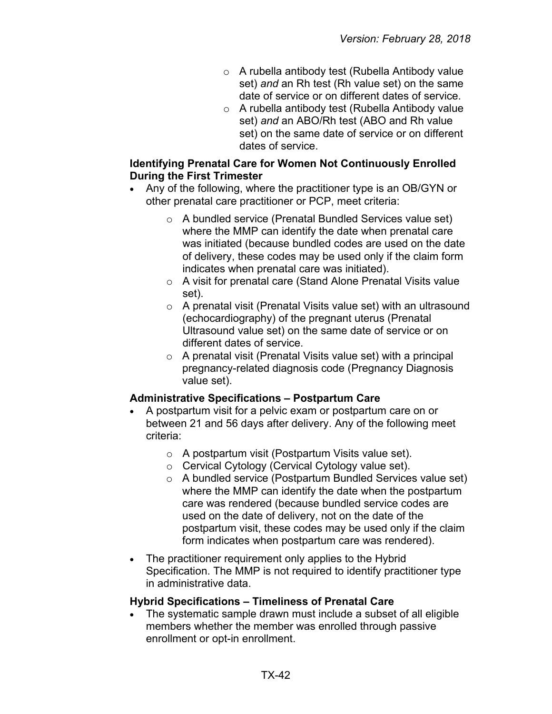- o A rubella antibody test (Rubella Antibody value set) *and* an Rh test (Rh value set) on the same date of service or on different dates of service.
- o A rubella antibody test (Rubella Antibody value set) *and* an ABO/Rh test (ABO and Rh value set) on the same date of service or on different dates of service.

#### **Identifying Prenatal Care for Women Not Continuously Enrolled During the First Trimester**

- Any of the following, where the practitioner type is an OB/GYN or other prenatal care practitioner or PCP, meet criteria:
	- o A bundled service (Prenatal Bundled Services value set) where the MMP can identify the date when prenatal care was initiated (because bundled codes are used on the date of delivery, these codes may be used only if the claim form indicates when prenatal care was initiated).
	- o A visit for prenatal care (Stand Alone Prenatal Visits value set).
	- o A prenatal visit (Prenatal Visits value set) with an ultrasound (echocardiography) of the pregnant uterus (Prenatal Ultrasound value set) on the same date of service or on different dates of service.
	- $\circ$  A prenatal visit (Prenatal Visits value set) with a principal pregnancy-related diagnosis code (Pregnancy Diagnosis value set).

# **Administrative Specifications – Postpartum Care**

- A postpartum visit for a pelvic exam or postpartum care on or between 21 and 56 days after delivery. Any of the following meet criteria:
	- o A postpartum visit (Postpartum Visits value set).
	- o Cervical Cytology (Cervical Cytology value set).
	- o A bundled service (Postpartum Bundled Services value set) where the MMP can identify the date when the postpartum care was rendered (because bundled service codes are used on the date of delivery, not on the date of the postpartum visit, these codes may be used only if the claim form indicates when postpartum care was rendered).
- The practitioner requirement only applies to the Hybrid Specification. The MMP is not required to identify practitioner type in administrative data.

#### **Hybrid Specifications – Timeliness of Prenatal Care**

• The systematic sample drawn must include a subset of all eligible members whether the member was enrolled through passive enrollment or opt-in enrollment.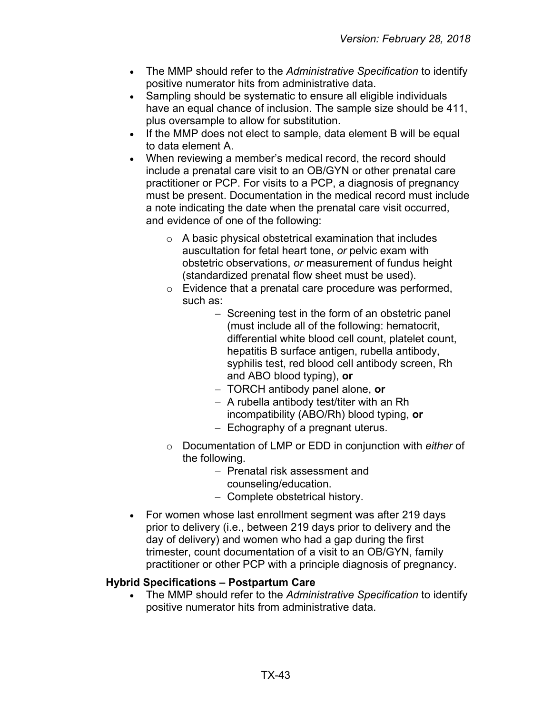- The MMP should refer to the *Administrative Specification* to identify positive numerator hits from administrative data.
- Sampling should be systematic to ensure all eligible individuals have an equal chance of inclusion. The sample size should be 411, plus oversample to allow for substitution.
- If the MMP does not elect to sample, data element B will be equal to data element A.
- When reviewing a member's medical record, the record should include a prenatal care visit to an OB/GYN or other prenatal care practitioner or PCP. For visits to a PCP, a diagnosis of pregnancy must be present. Documentation in the medical record must include a note indicating the date when the prenatal care visit occurred, and evidence of one of the following:
	- o A basic physical obstetrical examination that includes auscultation for fetal heart tone, *or* pelvic exam with obstetric observations, *or* measurement of fundus height (standardized prenatal flow sheet must be used).
	- o Evidence that a prenatal care procedure was performed, such as:
		- − Screening test in the form of an obstetric panel (must include all of the following: hematocrit, differential white blood cell count, platelet count, hepatitis B surface antigen, rubella antibody, syphilis test, red blood cell antibody screen, Rh and ABO blood typing), **or**
		- − TORCH antibody panel alone, **or**
		- − A rubella antibody test/titer with an Rh incompatibility (ABO/Rh) blood typing, **or**
		- − Echography of a pregnant uterus.
	- o Documentation of LMP or EDD in conjunction with *either* of the following.
		- − Prenatal risk assessment and
		- counseling/education.
		- − Complete obstetrical history.
- For women whose last enrollment segment was after 219 days prior to delivery (i.e., between 219 days prior to delivery and the day of delivery) and women who had a gap during the first trimester, count documentation of a visit to an OB/GYN, family practitioner or other PCP with a principle diagnosis of pregnancy.

#### **Hybrid Specifications – Postpartum Care**

• The MMP should refer to the *Administrative Specification* to identify positive numerator hits from administrative data.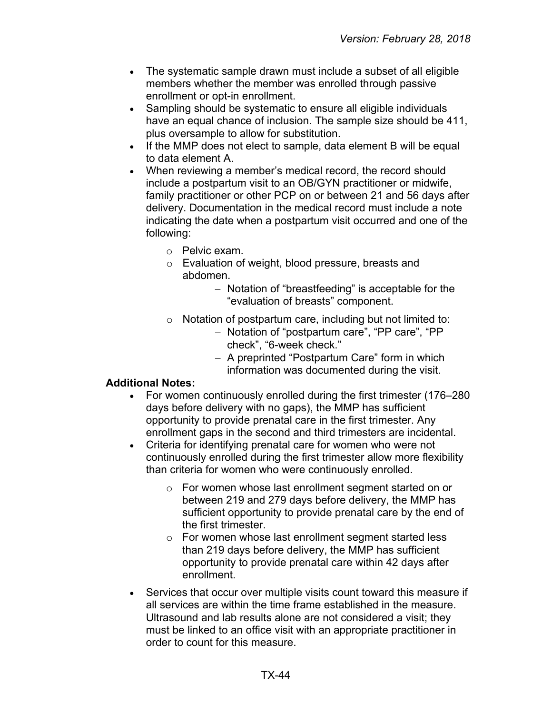- The systematic sample drawn must include a subset of all eligible members whether the member was enrolled through passive enrollment or opt-in enrollment.
- Sampling should be systematic to ensure all eligible individuals have an equal chance of inclusion. The sample size should be 411, plus oversample to allow for substitution.
- If the MMP does not elect to sample, data element B will be equal to data element A.
- When reviewing a member's medical record, the record should include a postpartum visit to an OB/GYN practitioner or midwife, family practitioner or other PCP on or between 21 and 56 days after delivery. Documentation in the medical record must include a note indicating the date when a postpartum visit occurred and one of the following:
	- o Pelvic exam.
	- o Evaluation of weight, blood pressure, breasts and abdomen.
		- − Notation of "breastfeeding" is acceptable for the "evaluation of breasts" component.
	- $\circ$  Notation of postpartum care, including but not limited to:
		- − Notation of "postpartum care", "PP care", "PP check", "6-week check."
		- − A preprinted "Postpartum Care" form in which information was documented during the visit.

#### **Additional Notes:**

- For women continuously enrolled during the first trimester (176–280 days before delivery with no gaps), the MMP has sufficient opportunity to provide prenatal care in the first trimester. Any enrollment gaps in the second and third trimesters are incidental.
- Criteria for identifying prenatal care for women who were not continuously enrolled during the first trimester allow more flexibility than criteria for women who were continuously enrolled.
	- o For women whose last enrollment segment started on or between 219 and 279 days before delivery, the MMP has sufficient opportunity to provide prenatal care by the end of the first trimester.
	- o For women whose last enrollment segment started less than 219 days before delivery, the MMP has sufficient opportunity to provide prenatal care within 42 days after enrollment.
- Services that occur over multiple visits count toward this measure if all services are within the time frame established in the measure. Ultrasound and lab results alone are not considered a visit; they must be linked to an office visit with an appropriate practitioner in order to count for this measure.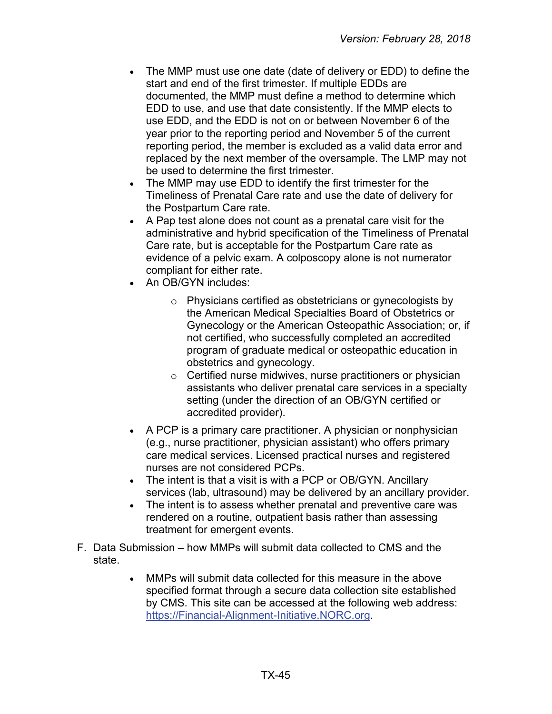- The MMP must use one date (date of delivery or EDD) to define the start and end of the first trimester. If multiple EDDs are documented, the MMP must define a method to determine which EDD to use, and use that date consistently. If the MMP elects to use EDD, and the EDD is not on or between November 6 of the year prior to the reporting period and November 5 of the current reporting period, the member is excluded as a valid data error and replaced by the next member of the oversample. The LMP may not be used to determine the first trimester.
- The MMP may use EDD to identify the first trimester for the Timeliness of Prenatal Care rate and use the date of delivery for the Postpartum Care rate.
- A Pap test alone does not count as a prenatal care visit for the administrative and hybrid specification of the Timeliness of Prenatal Care rate, but is acceptable for the Postpartum Care rate as evidence of a pelvic exam. A colposcopy alone is not numerator compliant for either rate.
- An OB/GYN includes:
	- o Physicians certified as obstetricians or gynecologists by the American Medical Specialties Board of Obstetrics or Gynecology or the American Osteopathic Association; or, if not certified, who successfully completed an accredited program of graduate medical or osteopathic education in obstetrics and gynecology.
	- $\circ$  Certified nurse midwives, nurse practitioners or physician assistants who deliver prenatal care services in a specialty setting (under the direction of an OB/GYN certified or accredited provider).
- A PCP is a primary care practitioner. A physician or nonphysician (e.g., nurse practitioner, physician assistant) who offers primary care medical services. Licensed practical nurses and registered nurses are not considered PCPs.
- The intent is that a visit is with a PCP or OB/GYN. Ancillary services (lab, ultrasound) may be delivered by an ancillary provider.
- The intent is to assess whether prenatal and preventive care was rendered on a routine, outpatient basis rather than assessing treatment for emergent events.
- F. Data Submission how MMPs will submit data collected to CMS and the state.
	- MMPs will submit data collected for this measure in the above specified format through a secure data collection site established by CMS. This site can be accessed at the following web address: [https://Financial-Alignment-Initiative.NORC.org.](https://financial-alignment-initiative.norc.org/)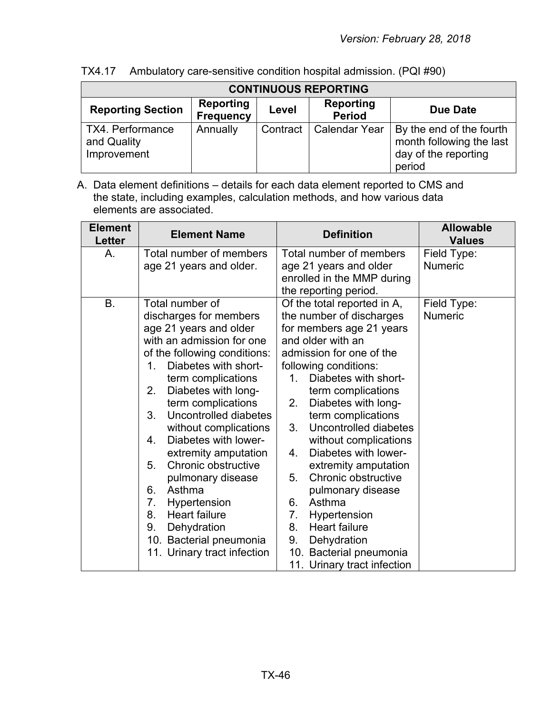| TX4.17 |  | Ambulatory care-sensitive condition hospital admission. (PQI #90) |  |
|--------|--|-------------------------------------------------------------------|--|
|--------|--|-------------------------------------------------------------------|--|

| <b>CONTINUOUS REPORTING</b>                    |                               |          |                            |                                                                                        |  |  |
|------------------------------------------------|-------------------------------|----------|----------------------------|----------------------------------------------------------------------------------------|--|--|
| <b>Reporting Section</b>                       | Reporting<br><b>Frequency</b> | Level    | Reporting<br><b>Period</b> | Due Date                                                                               |  |  |
| TX4. Performance<br>and Quality<br>Improvement | Annually                      | Contract | <b>Calendar Year</b>       | By the end of the fourth<br>month following the last<br>day of the reporting<br>period |  |  |

A. Data element definitions – details for each data element reported to CMS and the state, including examples, calculation methods, and how various data elements are associated.

| <b>Element</b><br><b>Letter</b> | <b>Element Name</b>                                | <b>Definition</b>                                   | <b>Allowable</b><br><b>Values</b> |
|---------------------------------|----------------------------------------------------|-----------------------------------------------------|-----------------------------------|
| А.                              | Total number of members<br>age 21 years and older. | Total number of members<br>age 21 years and older   | Field Type:<br>Numeric            |
|                                 |                                                    | enrolled in the MMP during<br>the reporting period. |                                   |
| Β.                              | Total number of                                    | Of the total reported in A,                         | Field Type:                       |
|                                 | discharges for members                             | the number of discharges                            | <b>Numeric</b>                    |
|                                 | age 21 years and older                             | for members age 21 years                            |                                   |
|                                 | with an admission for one                          | and older with an                                   |                                   |
|                                 | of the following conditions:                       | admission for one of the                            |                                   |
|                                 | Diabetes with short-<br>1.                         | following conditions:                               |                                   |
|                                 | term complications<br>Diabetes with long-<br>2.    | Diabetes with short-<br>$\mathbf 1$ .               |                                   |
|                                 | term complications                                 | term complications<br>2.<br>Diabetes with long-     |                                   |
|                                 | 3.<br>Uncontrolled diabetes                        | term complications                                  |                                   |
|                                 | without complications                              | 3.<br>Uncontrolled diabetes                         |                                   |
|                                 | Diabetes with lower-<br>4.                         | without complications                               |                                   |
|                                 | extremity amputation                               | Diabetes with lower-<br>4.                          |                                   |
|                                 | Chronic obstructive<br>5.                          | extremity amputation                                |                                   |
|                                 | pulmonary disease                                  | 5.<br>Chronic obstructive                           |                                   |
|                                 | Asthma<br>6.                                       | pulmonary disease                                   |                                   |
|                                 | 7.<br>Hypertension                                 | Asthma<br>6.                                        |                                   |
|                                 | 8.<br><b>Heart failure</b>                         | 7.<br>Hypertension                                  |                                   |
|                                 | 9.<br>Dehydration                                  | 8.<br><b>Heart failure</b>                          |                                   |
|                                 | 10. Bacterial pneumonia                            | Dehydration<br>9.                                   |                                   |
|                                 | 11. Urinary tract infection                        | 10. Bacterial pneumonia                             |                                   |
|                                 |                                                    | 11. Urinary tract infection                         |                                   |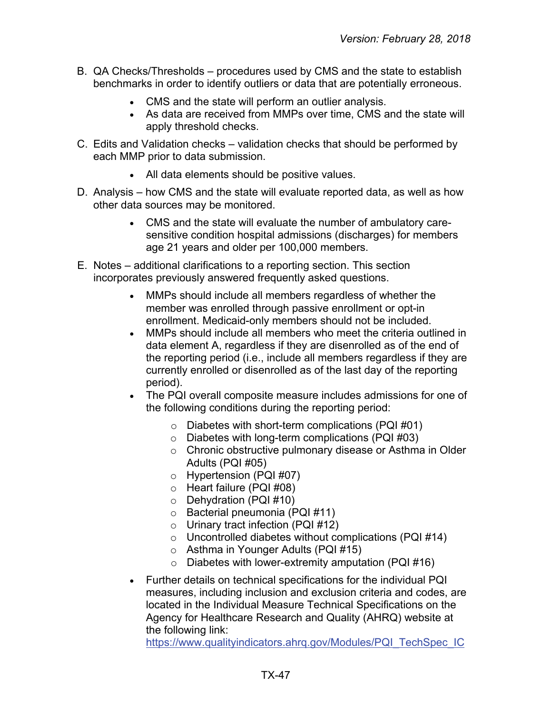- B. QA Checks/Thresholds procedures used by CMS and the state to establish benchmarks in order to identify outliers or data that are potentially erroneous.
	- CMS and the state will perform an outlier analysis.
	- As data are received from MMPs over time, CMS and the state will apply threshold checks.
- C. Edits and Validation checks validation checks that should be performed by each MMP prior to data submission.
	- All data elements should be positive values.
- D. Analysis how CMS and the state will evaluate reported data, as well as how other data sources may be monitored.
	- CMS and the state will evaluate the number of ambulatory caresensitive condition hospital admissions (discharges) for members age 21 years and older per 100,000 members.
- E. Notes additional clarifications to a reporting section. This section incorporates previously answered frequently asked questions.
	- MMPs should include all members regardless of whether the member was enrolled through passive enrollment or opt-in enrollment. Medicaid-only members should not be included.
	- MMPs should include all members who meet the criteria outlined in data element A, regardless if they are disenrolled as of the end of the reporting period (i.e., include all members regardless if they are currently enrolled or disenrolled as of the last day of the reporting period).
	- The PQI overall composite measure includes admissions for one of the following conditions during the reporting period:
		- $\circ$  Diabetes with short-term complications (PQI #01)
		- $\circ$  Diabetes with long-term complications (PQI #03)
		- o Chronic obstructive pulmonary disease or Asthma in Older Adults (PQI #05)
		- o Hypertension (PQI #07)
		- o Heart failure (PQI #08)
		- o Dehydration (PQI #10)
		- o Bacterial pneumonia (PQI #11)
		- o Urinary tract infection (PQI #12)
		- $\circ$  Uncontrolled diabetes without complications (PQI #14)
		- o Asthma in Younger Adults (PQI #15)
		- $\circ$  Diabetes with lower-extremity amputation (PQI #16)
	- Further details on technical specifications for the individual PQI measures, including inclusion and exclusion criteria and codes, are located in the Individual Measure Technical Specifications on the Agency for Healthcare Research and Quality (AHRQ) website at the following link:

[https://www.qualityindicators.ahrq.gov/Modules/PQI\\_TechSpec\\_IC](https://www.qualityindicators.ahrq.gov/Modules/PQI_TechSpec_ICD10_v70.aspx)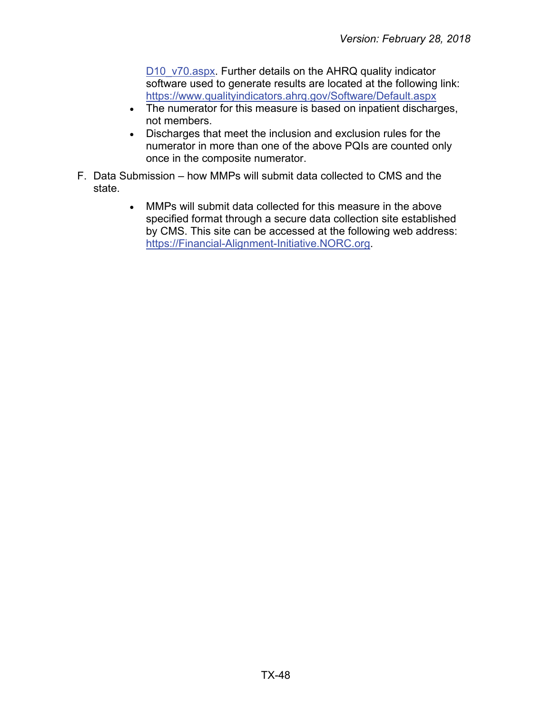[D10\\_v70.aspx.](https://www.qualityindicators.ahrq.gov/Modules/PQI_TechSpec_ICD10_v70.aspx) Further details on the AHRQ quality indicator software used to generate results are located at the following link: <https://www.qualityindicators.ahrq.gov/Software/Default.aspx>

- The numerator for this measure is based on inpatient discharges, not members.
- Discharges that meet the inclusion and exclusion rules for the numerator in more than one of the above PQIs are counted only once in the composite numerator.
- F. Data Submission how MMPs will submit data collected to CMS and the state.
	- MMPs will submit data collected for this measure in the above specified format through a secure data collection site established by CMS. This site can be accessed at the following web address: [https://Financial-Alignment-Initiative.NORC.org.](https://financial-alignment-initiative.norc.org/)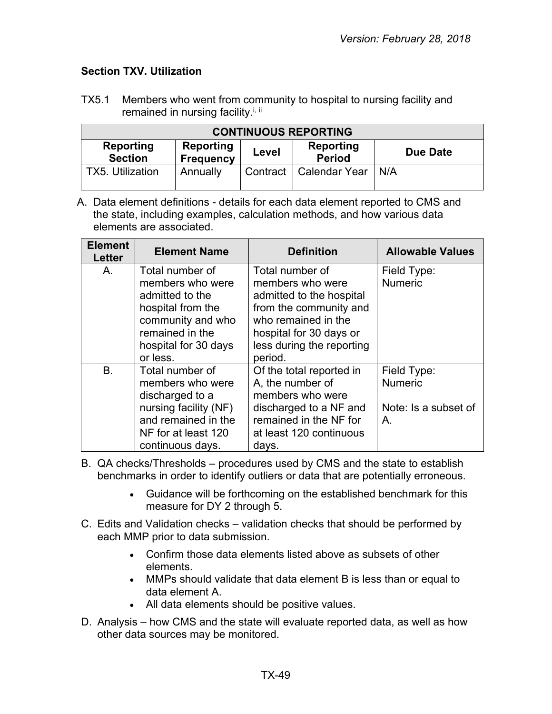# <span id="page-48-0"></span>**Section TXV. Utilization**

TX5.1 Members who went from community to hospital to nursing facility and remained in nursing facility.<sup>i, ii</sup>

| <b>CONTINUOUS REPORTING</b> |                               |          |                            |          |  |  |
|-----------------------------|-------------------------------|----------|----------------------------|----------|--|--|
| Reporting<br><b>Section</b> | Reporting<br><b>Frequency</b> | Level    | Reporting<br><b>Period</b> | Due Date |  |  |
| <b>TX5. Utilization</b>     | Annually                      | Contract | <b>Calendar Year</b>       | N/A      |  |  |

A. Data element definitions - details for each data element reported to CMS and the state, including examples, calculation methods, and how various data elements are associated.

| <b>Element</b><br>Letter | <b>Element Name</b>                  | <b>Definition</b>                             | <b>Allowable Values</b>       |
|--------------------------|--------------------------------------|-----------------------------------------------|-------------------------------|
| Α.                       | Total number of<br>members who were  | Total number of<br>members who were           | Field Type:<br><b>Numeric</b> |
|                          | admitted to the                      | admitted to the hospital                      |                               |
|                          | hospital from the                    | from the community and<br>who remained in the |                               |
|                          | community and who<br>remained in the | hospital for 30 days or                       |                               |
|                          | hospital for 30 days                 | less during the reporting                     |                               |
|                          | or less.                             | period.                                       |                               |
| <b>B.</b>                | Total number of                      | Of the total reported in                      | Field Type:                   |
|                          | members who were                     | A, the number of                              | <b>Numeric</b>                |
|                          | discharged to a                      | members who were                              |                               |
|                          | nursing facility (NF)                | discharged to a NF and                        | Note: Is a subset of          |
|                          | and remained in the                  | remained in the NF for                        | Α.                            |
|                          | NF for at least 120                  | at least 120 continuous                       |                               |
|                          | continuous days.                     | days.                                         |                               |

- B. QA checks/Thresholds procedures used by CMS and the state to establish benchmarks in order to identify outliers or data that are potentially erroneous.
	- Guidance will be forthcoming on the established benchmark for this measure for DY 2 through 5.
- C. Edits and Validation checks validation checks that should be performed by each MMP prior to data submission.
	- Confirm those data elements listed above as subsets of other elements.
	- MMPs should validate that data element B is less than or equal to data element A.
	- All data elements should be positive values.
- D. Analysis how CMS and the state will evaluate reported data, as well as how other data sources may be monitored.